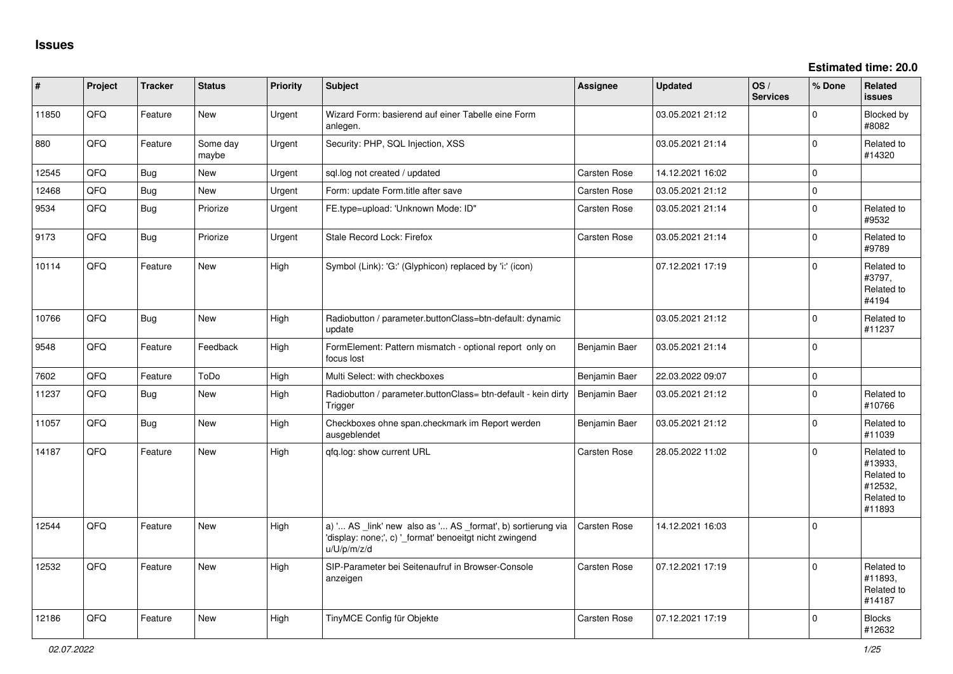| #     | Project | <b>Tracker</b> | <b>Status</b>     | <b>Priority</b> | <b>Subject</b>                                                                                                                        | <b>Assignee</b>     | <b>Updated</b>   | OS/<br><b>Services</b> | % Done      | Related<br>issues                                                      |
|-------|---------|----------------|-------------------|-----------------|---------------------------------------------------------------------------------------------------------------------------------------|---------------------|------------------|------------------------|-------------|------------------------------------------------------------------------|
| 11850 | QFQ     | Feature        | <b>New</b>        | Urgent          | Wizard Form: basierend auf einer Tabelle eine Form<br>anlegen.                                                                        |                     | 03.05.2021 21:12 |                        | $\Omega$    | Blocked by<br>#8082                                                    |
| 880   | QFQ     | Feature        | Some day<br>maybe | Urgent          | Security: PHP, SQL Injection, XSS                                                                                                     |                     | 03.05.2021 21:14 |                        | $\Omega$    | Related to<br>#14320                                                   |
| 12545 | QFQ     | <b>Bug</b>     | <b>New</b>        | Urgent          | sql.log not created / updated                                                                                                         | <b>Carsten Rose</b> | 14.12.2021 16:02 |                        | I٥          |                                                                        |
| 12468 | QFQ     | <b>Bug</b>     | New               | Urgent          | Form: update Form.title after save                                                                                                    | Carsten Rose        | 03.05.2021 21:12 |                        | $\mathbf 0$ |                                                                        |
| 9534  | QFQ     | <b>Bug</b>     | Priorize          | Urgent          | FE.type=upload: 'Unknown Mode: ID"                                                                                                    | <b>Carsten Rose</b> | 03.05.2021 21:14 |                        | $\Omega$    | Related to<br>#9532                                                    |
| 9173  | QFQ     | Bug            | Priorize          | Urgent          | Stale Record Lock: Firefox                                                                                                            | <b>Carsten Rose</b> | 03.05.2021 21:14 |                        | $\Omega$    | Related to<br>#9789                                                    |
| 10114 | QFQ     | Feature        | <b>New</b>        | High            | Symbol (Link): 'G:' (Glyphicon) replaced by 'i:' (icon)                                                                               |                     | 07.12.2021 17:19 |                        | $\Omega$    | Related to<br>#3797,<br>Related to<br>#4194                            |
| 10766 | QFQ     | <b>Bug</b>     | New               | High            | Radiobutton / parameter.buttonClass=btn-default: dynamic<br>update                                                                    |                     | 03.05.2021 21:12 |                        | $\Omega$    | Related to<br>#11237                                                   |
| 9548  | QFQ     | Feature        | Feedback          | High            | FormElement: Pattern mismatch - optional report only on<br>focus lost                                                                 | Benjamin Baer       | 03.05.2021 21:14 |                        | $\Omega$    |                                                                        |
| 7602  | QFQ     | Feature        | ToDo              | High            | Multi Select: with checkboxes                                                                                                         | Benjamin Baer       | 22.03.2022 09:07 |                        | $\mathbf 0$ |                                                                        |
| 11237 | QFQ     | Bug            | <b>New</b>        | High            | Radiobutton / parameter.buttonClass= btn-default - kein dirty<br>Trigger                                                              | Benjamin Baer       | 03.05.2021 21:12 |                        | $\Omega$    | Related to<br>#10766                                                   |
| 11057 | QFQ     | Bug            | New               | High            | Checkboxes ohne span.checkmark im Report werden<br>ausgeblendet                                                                       | Benjamin Baer       | 03.05.2021 21:12 |                        | $\Omega$    | Related to<br>#11039                                                   |
| 14187 | QFQ     | Feature        | <b>New</b>        | High            | gfg.log: show current URL                                                                                                             | <b>Carsten Rose</b> | 28.05.2022 11:02 |                        | $\Omega$    | Related to<br>#13933,<br>Related to<br>#12532,<br>Related to<br>#11893 |
| 12544 | QFQ     | Feature        | New               | High            | a) ' AS _link' new also as ' AS _format', b) sortierung via<br>'display: none;', c) '_format' benoeitgt nicht zwingend<br>u/U/p/m/z/d | <b>Carsten Rose</b> | 14.12.2021 16:03 |                        | l O         |                                                                        |
| 12532 | QFQ     | Feature        | <b>New</b>        | High            | SIP-Parameter bei Seitenaufruf in Browser-Console<br>anzeigen                                                                         | <b>Carsten Rose</b> | 07.12.2021 17:19 |                        | $\Omega$    | Related to<br>#11893,<br>Related to<br>#14187                          |
| 12186 | QFQ     | Feature        | <b>New</b>        | High            | TinyMCE Config für Objekte                                                                                                            | <b>Carsten Rose</b> | 07.12.2021 17:19 |                        | $\Omega$    | <b>Blocks</b><br>#12632                                                |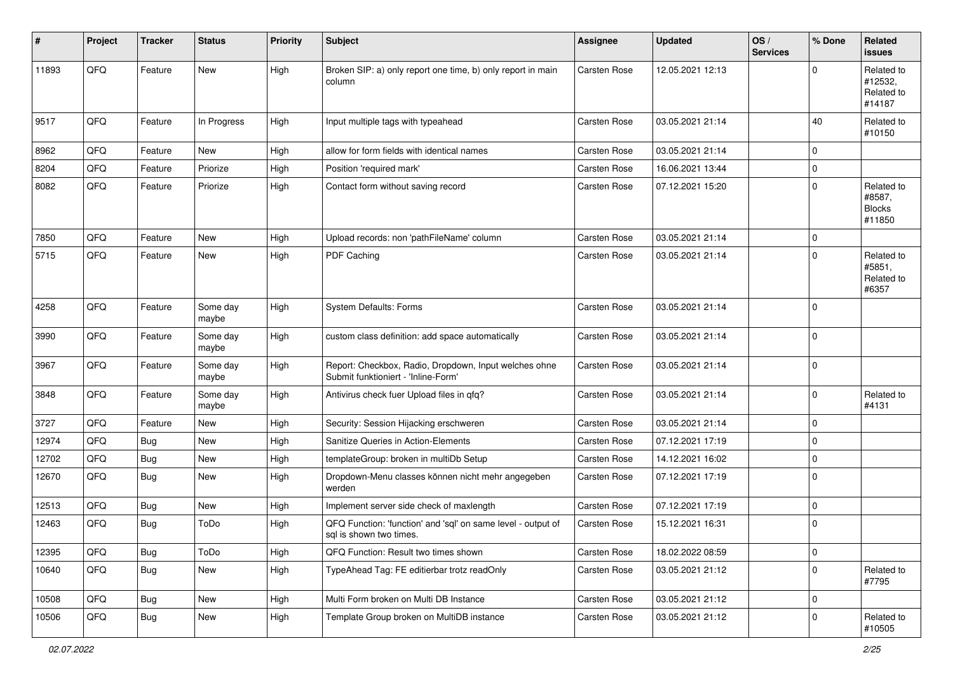| ∦     | Project | <b>Tracker</b> | <b>Status</b>     | <b>Priority</b> | Subject                                                                                      | Assignee     | <b>Updated</b>   | OS/<br><b>Services</b> | % Done      | Related<br><b>issues</b>                        |
|-------|---------|----------------|-------------------|-----------------|----------------------------------------------------------------------------------------------|--------------|------------------|------------------------|-------------|-------------------------------------------------|
| 11893 | QFQ     | Feature        | New               | High            | Broken SIP: a) only report one time, b) only report in main<br>column                        | Carsten Rose | 12.05.2021 12:13 |                        | $\Omega$    | Related to<br>#12532,<br>Related to<br>#14187   |
| 9517  | QFQ     | Feature        | In Progress       | High            | Input multiple tags with typeahead                                                           | Carsten Rose | 03.05.2021 21:14 |                        | 40          | Related to<br>#10150                            |
| 8962  | QFQ     | Feature        | New               | High            | allow for form fields with identical names                                                   | Carsten Rose | 03.05.2021 21:14 |                        | $\mathbf 0$ |                                                 |
| 8204  | QFQ     | Feature        | Priorize          | High            | Position 'required mark'                                                                     | Carsten Rose | 16.06.2021 13:44 |                        | $\mathbf 0$ |                                                 |
| 8082  | QFQ     | Feature        | Priorize          | High            | Contact form without saving record                                                           | Carsten Rose | 07.12.2021 15:20 |                        | $\mathbf 0$ | Related to<br>#8587,<br><b>Blocks</b><br>#11850 |
| 7850  | QFQ     | Feature        | New               | High            | Upload records: non 'pathFileName' column                                                    | Carsten Rose | 03.05.2021 21:14 |                        | $\mathbf 0$ |                                                 |
| 5715  | QFQ     | Feature        | New               | High            | PDF Caching                                                                                  | Carsten Rose | 03.05.2021 21:14 |                        | $\mathbf 0$ | Related to<br>#5851,<br>Related to<br>#6357     |
| 4258  | QFQ     | Feature        | Some day<br>maybe | High            | <b>System Defaults: Forms</b>                                                                | Carsten Rose | 03.05.2021 21:14 |                        | $\mathbf 0$ |                                                 |
| 3990  | QFQ     | Feature        | Some day<br>maybe | High            | custom class definition: add space automatically                                             | Carsten Rose | 03.05.2021 21:14 |                        | $\mathbf 0$ |                                                 |
| 3967  | QFQ     | Feature        | Some day<br>maybe | High            | Report: Checkbox, Radio, Dropdown, Input welches ohne<br>Submit funktioniert - 'Inline-Form' | Carsten Rose | 03.05.2021 21:14 |                        | $\mathbf 0$ |                                                 |
| 3848  | QFQ     | Feature        | Some day<br>maybe | High            | Antivirus check fuer Upload files in qfq?                                                    | Carsten Rose | 03.05.2021 21:14 |                        | $\mathbf 0$ | Related to<br>#4131                             |
| 3727  | QFQ     | Feature        | <b>New</b>        | High            | Security: Session Hijacking erschweren                                                       | Carsten Rose | 03.05.2021 21:14 |                        | $\mathbf 0$ |                                                 |
| 12974 | QFQ     | <b>Bug</b>     | New               | High            | Sanitize Queries in Action-Elements                                                          | Carsten Rose | 07.12.2021 17:19 |                        | $\mathbf 0$ |                                                 |
| 12702 | QFQ     | <b>Bug</b>     | New               | High            | templateGroup: broken in multiDb Setup                                                       | Carsten Rose | 14.12.2021 16:02 |                        | $\mathbf 0$ |                                                 |
| 12670 | QFQ     | <b>Bug</b>     | New               | High            | Dropdown-Menu classes können nicht mehr angegeben<br>werden                                  | Carsten Rose | 07.12.2021 17:19 |                        | $\mathbf 0$ |                                                 |
| 12513 | QFQ     | <b>Bug</b>     | New               | High            | Implement server side check of maxlength                                                     | Carsten Rose | 07.12.2021 17:19 |                        | $\mathbf 0$ |                                                 |
| 12463 | QFQ     | <b>Bug</b>     | ToDo              | High            | QFQ Function: 'function' and 'sql' on same level - output of<br>sql is shown two times.      | Carsten Rose | 15.12.2021 16:31 |                        | $\mathbf 0$ |                                                 |
| 12395 | QFQ     | <b>Bug</b>     | ToDo              | High            | QFQ Function: Result two times shown                                                         | Carsten Rose | 18.02.2022 08:59 |                        | $\mathbf 0$ |                                                 |
| 10640 | QFQ     | <b>Bug</b>     | New               | High            | TypeAhead Tag: FE editierbar trotz readOnly                                                  | Carsten Rose | 03.05.2021 21:12 |                        | $\mathbf 0$ | Related to<br>#7795                             |
| 10508 | QFQ     | <b>Bug</b>     | New               | High            | Multi Form broken on Multi DB Instance                                                       | Carsten Rose | 03.05.2021 21:12 |                        | $\mathbf 0$ |                                                 |
| 10506 | QFQ     | <b>Bug</b>     | New               | High            | Template Group broken on MultiDB instance                                                    | Carsten Rose | 03.05.2021 21:12 |                        | $\mathbf 0$ | Related to<br>#10505                            |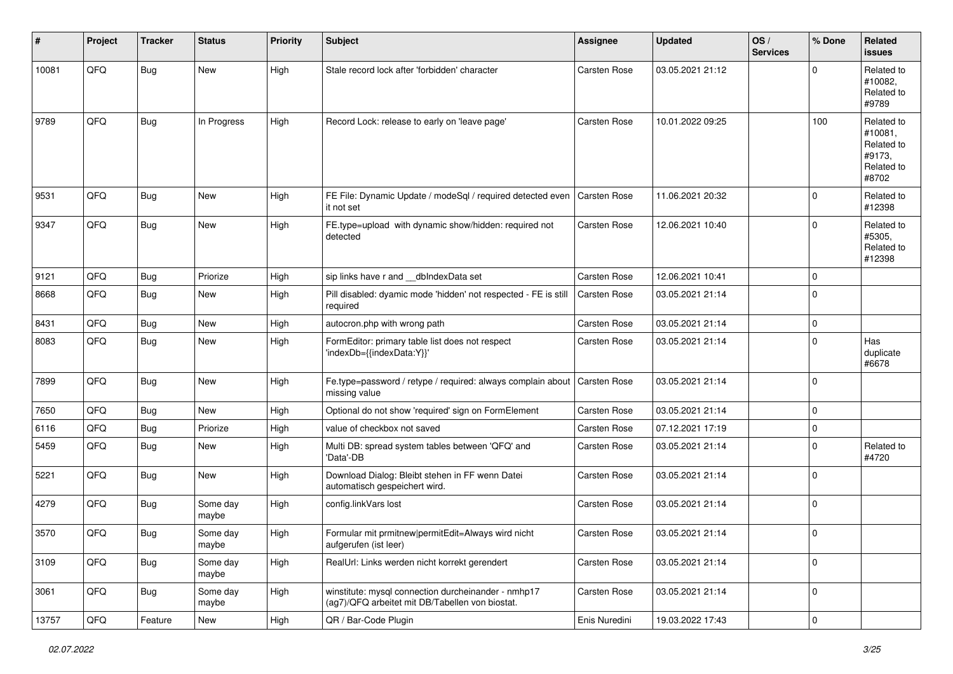| #     | Project | <b>Tracker</b> | <b>Status</b>     | <b>Priority</b> | Subject                                                                                                | Assignee            | <b>Updated</b>   | OS/<br><b>Services</b> | % Done      | <b>Related</b><br><b>issues</b>                                      |
|-------|---------|----------------|-------------------|-----------------|--------------------------------------------------------------------------------------------------------|---------------------|------------------|------------------------|-------------|----------------------------------------------------------------------|
| 10081 | QFQ     | <b>Bug</b>     | New               | High            | Stale record lock after 'forbidden' character                                                          | Carsten Rose        | 03.05.2021 21:12 |                        | $\mathbf 0$ | Related to<br>#10082,<br>Related to<br>#9789                         |
| 9789  | QFQ     | <b>Bug</b>     | In Progress       | High            | Record Lock: release to early on 'leave page'                                                          | Carsten Rose        | 10.01.2022 09:25 |                        | 100         | Related to<br>#10081,<br>Related to<br>#9173,<br>Related to<br>#8702 |
| 9531  | QFQ     | Bug            | <b>New</b>        | High            | FE File: Dynamic Update / modeSql / required detected even<br>it not set                               | <b>Carsten Rose</b> | 11.06.2021 20:32 |                        | $\mathbf 0$ | Related to<br>#12398                                                 |
| 9347  | QFQ     | <b>Bug</b>     | New               | High            | FE.type=upload with dynamic show/hidden: required not<br>detected                                      | Carsten Rose        | 12.06.2021 10:40 |                        | $\mathbf 0$ | Related to<br>#5305,<br>Related to<br>#12398                         |
| 9121  | QFQ     | Bug            | Priorize          | High            | sip links have r and __dbIndexData set                                                                 | Carsten Rose        | 12.06.2021 10:41 |                        | $\mathbf 0$ |                                                                      |
| 8668  | QFQ     | Bug            | <b>New</b>        | High            | Pill disabled: dyamic mode 'hidden' not respected - FE is still<br>required                            | Carsten Rose        | 03.05.2021 21:14 |                        | $\mathbf 0$ |                                                                      |
| 8431  | QFQ     | Bug            | <b>New</b>        | High            | autocron.php with wrong path                                                                           | Carsten Rose        | 03.05.2021 21:14 |                        | $\pmb{0}$   |                                                                      |
| 8083  | QFQ     | <b>Bug</b>     | <b>New</b>        | High            | FormEditor: primary table list does not respect<br>'indexDb={{indexData:Y}}'                           | Carsten Rose        | 03.05.2021 21:14 |                        | $\mathbf 0$ | Has<br>duplicate<br>#6678                                            |
| 7899  | QFQ     | <b>Bug</b>     | New               | High            | Fe.type=password / retype / required: always complain about<br>missing value                           | Carsten Rose        | 03.05.2021 21:14 |                        | $\mathbf 0$ |                                                                      |
| 7650  | QFQ     | Bug            | New               | High            | Optional do not show 'required' sign on FormElement                                                    | Carsten Rose        | 03.05.2021 21:14 |                        | $\mathbf 0$ |                                                                      |
| 6116  | QFQ     | Bug            | Priorize          | High            | value of checkbox not saved                                                                            | Carsten Rose        | 07.12.2021 17:19 |                        | $\pmb{0}$   |                                                                      |
| 5459  | QFQ     | Bug            | New               | High            | Multi DB: spread system tables between 'QFQ' and<br>'Data'-DB                                          | Carsten Rose        | 03.05.2021 21:14 |                        | $\mathbf 0$ | Related to<br>#4720                                                  |
| 5221  | QFQ     | <b>Bug</b>     | <b>New</b>        | High            | Download Dialog: Bleibt stehen in FF wenn Datei<br>automatisch gespeichert wird.                       | Carsten Rose        | 03.05.2021 21:14 |                        | $\mathbf 0$ |                                                                      |
| 4279  | QFQ     | Bug            | Some day<br>maybe | High            | config.linkVars lost                                                                                   | Carsten Rose        | 03.05.2021 21:14 |                        | $\mathbf 0$ |                                                                      |
| 3570  | QFQ     | Bug            | Some day<br>maybe | High            | Formular mit prmitnew permitEdit=Always wird nicht<br>aufgerufen (ist leer)                            | Carsten Rose        | 03.05.2021 21:14 |                        | $\mathbf 0$ |                                                                      |
| 3109  | QFQ     | Bug            | Some day<br>maybe | High            | RealUrl: Links werden nicht korrekt gerendert                                                          | Carsten Rose        | 03.05.2021 21:14 |                        | $\pmb{0}$   |                                                                      |
| 3061  | QFQ     | Bug            | Some day<br>maybe | High            | winstitute: mysql connection durcheinander - nmhp17<br>(ag7)/QFQ arbeitet mit DB/Tabellen von biostat. | Carsten Rose        | 03.05.2021 21:14 |                        | $\pmb{0}$   |                                                                      |
| 13757 | QFQ     | Feature        | New               | High            | QR / Bar-Code Plugin                                                                                   | Enis Nuredini       | 19.03.2022 17:43 |                        | $\mathsf 0$ |                                                                      |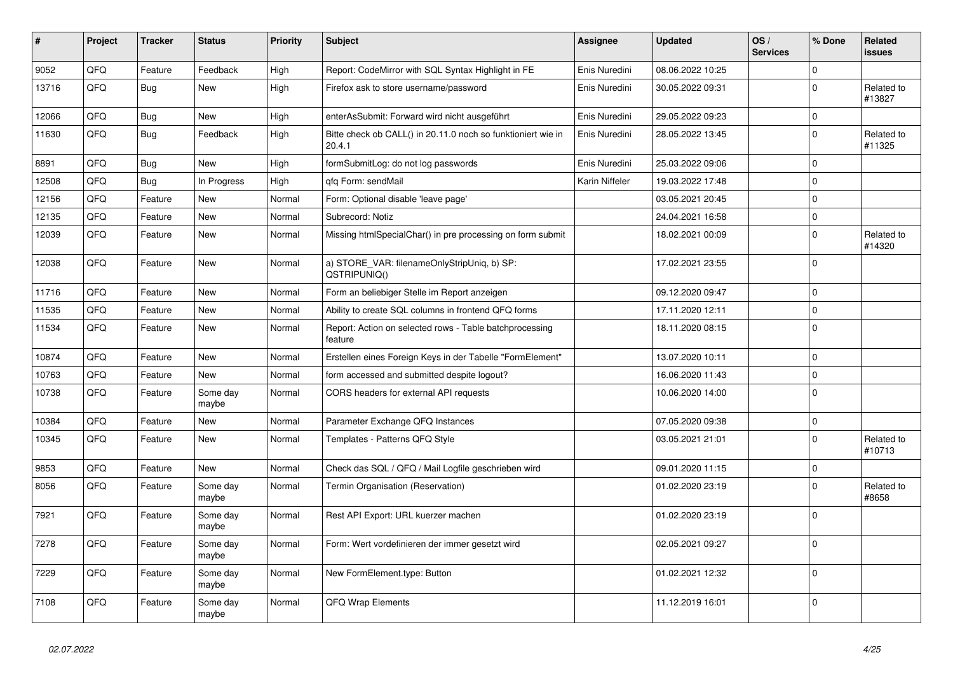| $\vert$ # | Project | <b>Tracker</b> | <b>Status</b>     | <b>Priority</b> | <b>Subject</b>                                                         | <b>Assignee</b> | <b>Updated</b>   | OS/<br><b>Services</b> | % Done      | Related<br><b>issues</b> |
|-----------|---------|----------------|-------------------|-----------------|------------------------------------------------------------------------|-----------------|------------------|------------------------|-------------|--------------------------|
| 9052      | QFQ     | Feature        | Feedback          | High            | Report: CodeMirror with SQL Syntax Highlight in FE                     | Enis Nuredini   | 08.06.2022 10:25 |                        | 0           |                          |
| 13716     | QFQ     | <b>Bug</b>     | New               | High            | Firefox ask to store username/password                                 | Enis Nuredini   | 30.05.2022 09:31 |                        | $\Omega$    | Related to<br>#13827     |
| 12066     | QFQ     | Bug            | <b>New</b>        | High            | enterAsSubmit: Forward wird nicht ausgeführt                           | Enis Nuredini   | 29.05.2022 09:23 |                        | $\mathbf 0$ |                          |
| 11630     | QFQ     | Bug            | Feedback          | High            | Bitte check ob CALL() in 20.11.0 noch so funktioniert wie in<br>20.4.1 | Enis Nuredini   | 28.05.2022 13:45 |                        | $\Omega$    | Related to<br>#11325     |
| 8891      | QFQ     | <b>Bug</b>     | <b>New</b>        | High            | formSubmitLog: do not log passwords                                    | Enis Nuredini   | 25.03.2022 09:06 |                        | $\Omega$    |                          |
| 12508     | QFQ     | <b>Bug</b>     | In Progress       | High            | gfg Form: sendMail                                                     | Karin Niffeler  | 19.03.2022 17:48 |                        | $\Omega$    |                          |
| 12156     | QFQ     | Feature        | <b>New</b>        | Normal          | Form: Optional disable 'leave page'                                    |                 | 03.05.2021 20:45 |                        | $\Omega$    |                          |
| 12135     | QFQ     | Feature        | New               | Normal          | Subrecord: Notiz                                                       |                 | 24.04.2021 16:58 |                        | $\mathbf 0$ |                          |
| 12039     | QFQ     | Feature        | New               | Normal          | Missing htmlSpecialChar() in pre processing on form submit             |                 | 18.02.2021 00:09 |                        | $\mathbf 0$ | Related to<br>#14320     |
| 12038     | QFQ     | Feature        | New               | Normal          | a) STORE_VAR: filenameOnlyStripUniq, b) SP:<br>QSTRIPUNIQ()            |                 | 17.02.2021 23:55 |                        | $\Omega$    |                          |
| 11716     | QFQ     | Feature        | New               | Normal          | Form an beliebiger Stelle im Report anzeigen                           |                 | 09.12.2020 09:47 |                        | $\mathbf 0$ |                          |
| 11535     | QFQ     | Feature        | New               | Normal          | Ability to create SQL columns in frontend QFQ forms                    |                 | 17.11.2020 12:11 |                        | $\Omega$    |                          |
| 11534     | QFQ     | Feature        | New               | Normal          | Report: Action on selected rows - Table batchprocessing<br>feature     |                 | 18.11.2020 08:15 |                        | $\Omega$    |                          |
| 10874     | QFQ     | Feature        | <b>New</b>        | Normal          | Erstellen eines Foreign Keys in der Tabelle "FormElement"              |                 | 13.07.2020 10:11 |                        | 0           |                          |
| 10763     | QFQ     | Feature        | <b>New</b>        | Normal          | form accessed and submitted despite logout?                            |                 | 16.06.2020 11:43 |                        | $\mathbf 0$ |                          |
| 10738     | QFQ     | Feature        | Some day<br>maybe | Normal          | CORS headers for external API requests                                 |                 | 10.06.2020 14:00 |                        | $\Omega$    |                          |
| 10384     | QFQ     | Feature        | <b>New</b>        | Normal          | Parameter Exchange QFQ Instances                                       |                 | 07.05.2020 09:38 |                        | $\mathbf 0$ |                          |
| 10345     | QFQ     | Feature        | New               | Normal          | Templates - Patterns QFQ Style                                         |                 | 03.05.2021 21:01 |                        | $\Omega$    | Related to<br>#10713     |
| 9853      | QFQ     | Feature        | New               | Normal          | Check das SQL / QFQ / Mail Logfile geschrieben wird                    |                 | 09.01.2020 11:15 |                        | $\mathbf 0$ |                          |
| 8056      | QFQ     | Feature        | Some day<br>maybe | Normal          | Termin Organisation (Reservation)                                      |                 | 01.02.2020 23:19 |                        | $\Omega$    | Related to<br>#8658      |
| 7921      | QFQ     | Feature        | Some day<br>maybe | Normal          | Rest API Export: URL kuerzer machen                                    |                 | 01.02.2020 23:19 |                        | $\mathbf 0$ |                          |
| 7278      | QFQ     | Feature        | Some day<br>maybe | Normal          | Form: Wert vordefinieren der immer gesetzt wird                        |                 | 02.05.2021 09:27 |                        | $\Omega$    |                          |
| 7229      | QFQ     | Feature        | Some day<br>maybe | Normal          | New FormElement.type: Button                                           |                 | 01.02.2021 12:32 |                        | $\mathbf 0$ |                          |
| 7108      | QFQ     | Feature        | Some day<br>maybe | Normal          | <b>QFQ Wrap Elements</b>                                               |                 | 11.12.2019 16:01 |                        | $\Omega$    |                          |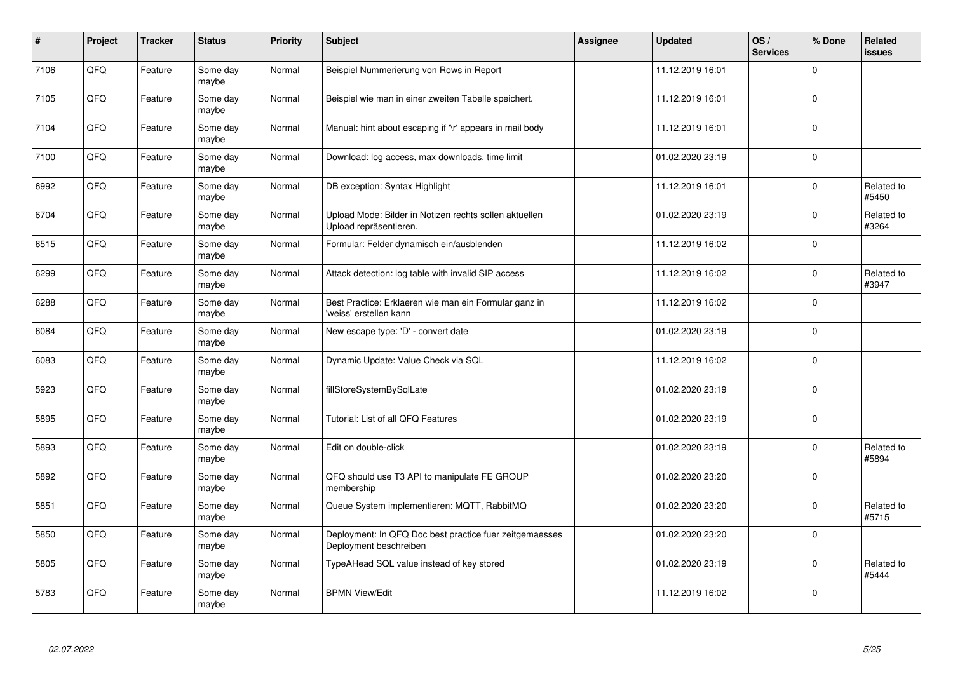| $\vert$ # | Project | <b>Tracker</b> | <b>Status</b>     | <b>Priority</b> | <b>Subject</b>                                                                    | Assignee | <b>Updated</b>   | OS/<br><b>Services</b> | % Done       | Related<br><b>issues</b> |
|-----------|---------|----------------|-------------------|-----------------|-----------------------------------------------------------------------------------|----------|------------------|------------------------|--------------|--------------------------|
| 7106      | QFQ     | Feature        | Some day<br>maybe | Normal          | Beispiel Nummerierung von Rows in Report                                          |          | 11.12.2019 16:01 |                        | $\Omega$     |                          |
| 7105      | QFQ     | Feature        | Some day<br>maybe | Normal          | Beispiel wie man in einer zweiten Tabelle speichert.                              |          | 11.12.2019 16:01 |                        | $\mathbf 0$  |                          |
| 7104      | QFQ     | Feature        | Some day<br>maybe | Normal          | Manual: hint about escaping if '\r' appears in mail body                          |          | 11.12.2019 16:01 |                        | $\Omega$     |                          |
| 7100      | QFQ     | Feature        | Some day<br>maybe | Normal          | Download: log access, max downloads, time limit                                   |          | 01.02.2020 23:19 |                        | $\Omega$     |                          |
| 6992      | QFQ     | Feature        | Some day<br>maybe | Normal          | DB exception: Syntax Highlight                                                    |          | 11.12.2019 16:01 |                        | $\Omega$     | Related to<br>#5450      |
| 6704      | QFQ     | Feature        | Some day<br>maybe | Normal          | Upload Mode: Bilder in Notizen rechts sollen aktuellen<br>Upload repräsentieren.  |          | 01.02.2020 23:19 |                        | $\Omega$     | Related to<br>#3264      |
| 6515      | QFQ     | Feature        | Some day<br>maybe | Normal          | Formular: Felder dynamisch ein/ausblenden                                         |          | 11.12.2019 16:02 |                        | $\Omega$     |                          |
| 6299      | QFQ     | Feature        | Some day<br>maybe | Normal          | Attack detection: log table with invalid SIP access                               |          | 11.12.2019 16:02 |                        | $\Omega$     | Related to<br>#3947      |
| 6288      | QFQ     | Feature        | Some day<br>maybe | Normal          | Best Practice: Erklaeren wie man ein Formular ganz in<br>'weiss' erstellen kann   |          | 11.12.2019 16:02 |                        | $\Omega$     |                          |
| 6084      | QFQ     | Feature        | Some day<br>maybe | Normal          | New escape type: 'D' - convert date                                               |          | 01.02.2020 23:19 |                        | $\Omega$     |                          |
| 6083      | QFQ     | Feature        | Some day<br>maybe | Normal          | Dynamic Update: Value Check via SQL                                               |          | 11.12.2019 16:02 |                        | $\mathbf 0$  |                          |
| 5923      | QFQ     | Feature        | Some day<br>maybe | Normal          | fillStoreSystemBySqlLate                                                          |          | 01.02.2020 23:19 |                        | $\mathbf 0$  |                          |
| 5895      | QFQ     | Feature        | Some day<br>maybe | Normal          | Tutorial: List of all QFQ Features                                                |          | 01.02.2020 23:19 |                        | $\mathbf 0$  |                          |
| 5893      | QFQ     | Feature        | Some day<br>maybe | Normal          | Edit on double-click                                                              |          | 01.02.2020 23:19 |                        | $\mathbf 0$  | Related to<br>#5894      |
| 5892      | QFQ     | Feature        | Some day<br>maybe | Normal          | QFQ should use T3 API to manipulate FE GROUP<br>membership                        |          | 01.02.2020 23:20 |                        | $\Omega$     |                          |
| 5851      | QFQ     | Feature        | Some day<br>maybe | Normal          | Queue System implementieren: MQTT, RabbitMQ                                       |          | 01.02.2020 23:20 |                        | $\Omega$     | Related to<br>#5715      |
| 5850      | QFQ     | Feature        | Some day<br>maybe | Normal          | Deployment: In QFQ Doc best practice fuer zeitgemaesses<br>Deployment beschreiben |          | 01.02.2020 23:20 |                        | $\mathbf{0}$ |                          |
| 5805      | QFQ     | Feature        | Some day<br>maybe | Normal          | TypeAHead SQL value instead of key stored                                         |          | 01.02.2020 23:19 |                        | $\Omega$     | Related to<br>#5444      |
| 5783      | QFQ     | Feature        | Some day<br>maybe | Normal          | <b>BPMN View/Edit</b>                                                             |          | 11.12.2019 16:02 |                        | $\Omega$     |                          |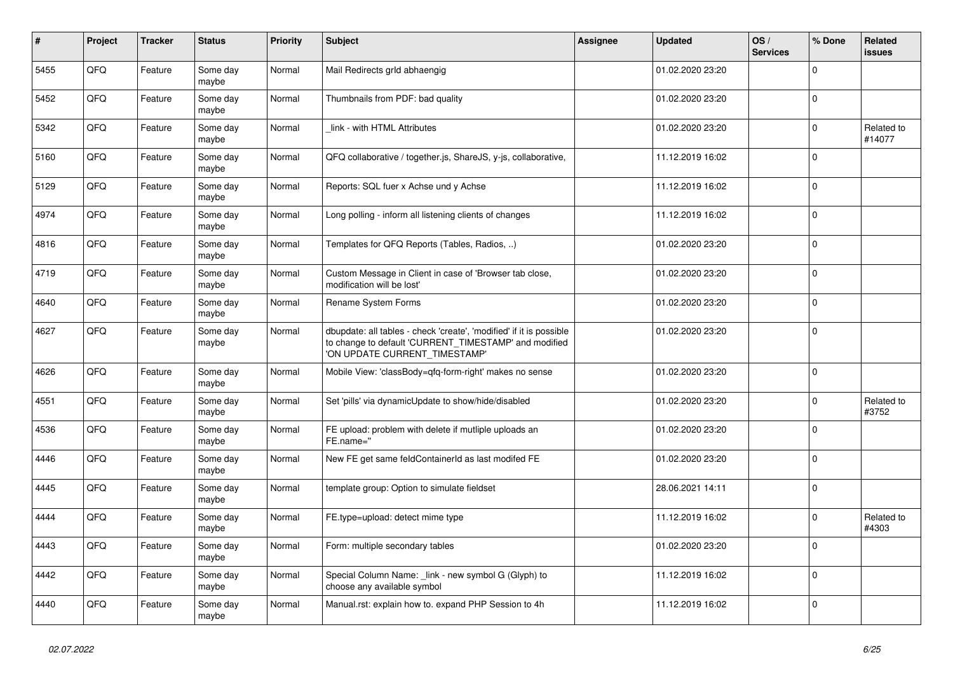| $\pmb{\#}$ | <b>Project</b> | <b>Tracker</b> | <b>Status</b>     | <b>Priority</b> | <b>Subject</b>                                                                                                                                                | Assignee | <b>Updated</b>   | OS/<br><b>Services</b> | % Done      | Related<br><b>issues</b> |
|------------|----------------|----------------|-------------------|-----------------|---------------------------------------------------------------------------------------------------------------------------------------------------------------|----------|------------------|------------------------|-------------|--------------------------|
| 5455       | QFQ            | Feature        | Some day<br>maybe | Normal          | Mail Redirects grld abhaengig                                                                                                                                 |          | 01.02.2020 23:20 |                        | $\Omega$    |                          |
| 5452       | QFQ            | Feature        | Some day<br>maybe | Normal          | Thumbnails from PDF: bad quality                                                                                                                              |          | 01.02.2020 23:20 |                        | $\mathbf 0$ |                          |
| 5342       | QFQ            | Feature        | Some day<br>maybe | Normal          | link - with HTML Attributes                                                                                                                                   |          | 01.02.2020 23:20 |                        | $\Omega$    | Related to<br>#14077     |
| 5160       | QFQ            | Feature        | Some day<br>maybe | Normal          | QFQ collaborative / together.js, ShareJS, y-js, collaborative,                                                                                                |          | 11.12.2019 16:02 |                        | $\Omega$    |                          |
| 5129       | QFQ            | Feature        | Some day<br>maybe | Normal          | Reports: SQL fuer x Achse und y Achse                                                                                                                         |          | 11.12.2019 16:02 |                        | $\mathbf 0$ |                          |
| 4974       | QFQ            | Feature        | Some day<br>maybe | Normal          | Long polling - inform all listening clients of changes                                                                                                        |          | 11.12.2019 16:02 |                        | $\Omega$    |                          |
| 4816       | QFQ            | Feature        | Some day<br>maybe | Normal          | Templates for QFQ Reports (Tables, Radios, )                                                                                                                  |          | 01.02.2020 23:20 |                        | $\Omega$    |                          |
| 4719       | QFQ            | Feature        | Some day<br>maybe | Normal          | Custom Message in Client in case of 'Browser tab close,<br>modification will be lost'                                                                         |          | 01.02.2020 23:20 |                        | $\Omega$    |                          |
| 4640       | QFQ            | Feature        | Some day<br>maybe | Normal          | Rename System Forms                                                                                                                                           |          | 01.02.2020 23:20 |                        | $\Omega$    |                          |
| 4627       | QFQ            | Feature        | Some day<br>maybe | Normal          | dbupdate: all tables - check 'create', 'modified' if it is possible<br>to change to default 'CURRENT_TIMESTAMP' and modified<br>'ON UPDATE CURRENT_TIMESTAMP' |          | 01.02.2020 23:20 |                        | $\Omega$    |                          |
| 4626       | QFQ            | Feature        | Some day<br>maybe | Normal          | Mobile View: 'classBody=qfq-form-right' makes no sense                                                                                                        |          | 01.02.2020 23:20 |                        | $\Omega$    |                          |
| 4551       | QFQ            | Feature        | Some day<br>maybe | Normal          | Set 'pills' via dynamicUpdate to show/hide/disabled                                                                                                           |          | 01.02.2020 23:20 |                        | $\Omega$    | Related to<br>#3752      |
| 4536       | QFQ            | Feature        | Some day<br>maybe | Normal          | FE upload: problem with delete if mutliple uploads an<br>FE.name="                                                                                            |          | 01.02.2020 23:20 |                        | $\mathbf 0$ |                          |
| 4446       | QFQ            | Feature        | Some day<br>maybe | Normal          | New FE get same feldContainerId as last modifed FE                                                                                                            |          | 01.02.2020 23:20 |                        | $\Omega$    |                          |
| 4445       | QFQ            | Feature        | Some day<br>maybe | Normal          | template group: Option to simulate fieldset                                                                                                                   |          | 28.06.2021 14:11 |                        | $\mathbf 0$ |                          |
| 4444       | QFQ            | Feature        | Some day<br>maybe | Normal          | FE.type=upload: detect mime type                                                                                                                              |          | 11.12.2019 16:02 |                        | $\Omega$    | Related to<br>#4303      |
| 4443       | QFQ            | Feature        | Some day<br>maybe | Normal          | Form: multiple secondary tables                                                                                                                               |          | 01.02.2020 23:20 |                        | $\Omega$    |                          |
| 4442       | QFQ            | Feature        | Some day<br>maybe | Normal          | Special Column Name: _link - new symbol G (Glyph) to<br>choose any available symbol                                                                           |          | 11.12.2019 16:02 |                        | $\Omega$    |                          |
| 4440       | QFQ            | Feature        | Some day<br>maybe | Normal          | Manual.rst: explain how to. expand PHP Session to 4h                                                                                                          |          | 11.12.2019 16:02 |                        | $\Omega$    |                          |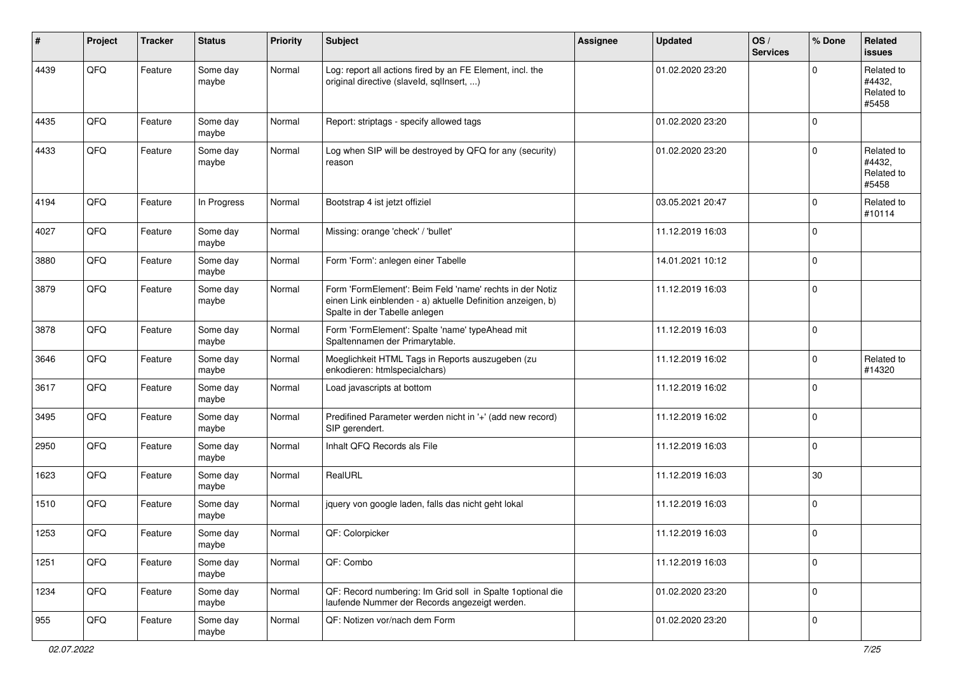| $\sharp$ | Project | <b>Tracker</b> | <b>Status</b>     | <b>Priority</b> | <b>Subject</b>                                                                                                                                           | <b>Assignee</b> | <b>Updated</b>   | OS/<br><b>Services</b> | % Done      | Related<br><b>issues</b>                    |
|----------|---------|----------------|-------------------|-----------------|----------------------------------------------------------------------------------------------------------------------------------------------------------|-----------------|------------------|------------------------|-------------|---------------------------------------------|
| 4439     | QFQ     | Feature        | Some day<br>maybe | Normal          | Log: report all actions fired by an FE Element, incl. the<br>original directive (slaveld, sqlInsert, )                                                   |                 | 01.02.2020 23:20 |                        | $\Omega$    | Related to<br>#4432.<br>Related to<br>#5458 |
| 4435     | QFQ     | Feature        | Some day<br>maybe | Normal          | Report: striptags - specify allowed tags                                                                                                                 |                 | 01.02.2020 23:20 |                        | $\mathbf 0$ |                                             |
| 4433     | QFQ     | Feature        | Some day<br>maybe | Normal          | Log when SIP will be destroyed by QFQ for any (security)<br>reason                                                                                       |                 | 01.02.2020 23:20 |                        | $\Omega$    | Related to<br>#4432,<br>Related to<br>#5458 |
| 4194     | QFQ     | Feature        | In Progress       | Normal          | Bootstrap 4 ist jetzt offiziel                                                                                                                           |                 | 03.05.2021 20:47 |                        | $\Omega$    | Related to<br>#10114                        |
| 4027     | QFQ     | Feature        | Some day<br>maybe | Normal          | Missing: orange 'check' / 'bullet'                                                                                                                       |                 | 11.12.2019 16:03 |                        | $\mathbf 0$ |                                             |
| 3880     | QFQ     | Feature        | Some day<br>maybe | Normal          | Form 'Form': anlegen einer Tabelle                                                                                                                       |                 | 14.01.2021 10:12 |                        | $\mathbf 0$ |                                             |
| 3879     | QFQ     | Feature        | Some day<br>maybe | Normal          | Form 'FormElement': Beim Feld 'name' rechts in der Notiz<br>einen Link einblenden - a) aktuelle Definition anzeigen, b)<br>Spalte in der Tabelle anlegen |                 | 11.12.2019 16:03 |                        | $\mathbf 0$ |                                             |
| 3878     | QFQ     | Feature        | Some day<br>maybe | Normal          | Form 'FormElement': Spalte 'name' typeAhead mit<br>Spaltennamen der Primarytable.                                                                        |                 | 11.12.2019 16:03 |                        | $\mathbf 0$ |                                             |
| 3646     | QFQ     | Feature        | Some day<br>maybe | Normal          | Moeglichkeit HTML Tags in Reports auszugeben (zu<br>enkodieren: htmlspecialchars)                                                                        |                 | 11.12.2019 16:02 |                        | 0           | Related to<br>#14320                        |
| 3617     | QFQ     | Feature        | Some day<br>maybe | Normal          | Load javascripts at bottom                                                                                                                               |                 | 11.12.2019 16:02 |                        | $\mathbf 0$ |                                             |
| 3495     | QFQ     | Feature        | Some day<br>maybe | Normal          | Predifined Parameter werden nicht in '+' (add new record)<br>SIP gerendert.                                                                              |                 | 11.12.2019 16:02 |                        | $\mathbf 0$ |                                             |
| 2950     | QFQ     | Feature        | Some day<br>maybe | Normal          | Inhalt QFQ Records als File                                                                                                                              |                 | 11.12.2019 16:03 |                        | $\Omega$    |                                             |
| 1623     | QFQ     | Feature        | Some day<br>maybe | Normal          | RealURL                                                                                                                                                  |                 | 11.12.2019 16:03 |                        | $30\,$      |                                             |
| 1510     | QFQ     | Feature        | Some day<br>maybe | Normal          | jquery von google laden, falls das nicht geht lokal                                                                                                      |                 | 11.12.2019 16:03 |                        | $\mathbf 0$ |                                             |
| 1253     | QFQ     | Feature        | Some day<br>maybe | Normal          | QF: Colorpicker                                                                                                                                          |                 | 11.12.2019 16:03 |                        | 0           |                                             |
| 1251     | QFQ     | Feature        | Some day<br>maybe | Normal          | QF: Combo                                                                                                                                                |                 | 11.12.2019 16:03 |                        | $\mathbf 0$ |                                             |
| 1234     | QFQ     | Feature        | Some day<br>maybe | Normal          | QF: Record numbering: Im Grid soll in Spalte 1 optional die<br>laufende Nummer der Records angezeigt werden.                                             |                 | 01.02.2020 23:20 |                        | 0           |                                             |
| 955      | QFQ     | Feature        | Some day<br>maybe | Normal          | QF: Notizen vor/nach dem Form                                                                                                                            |                 | 01.02.2020 23:20 |                        | $\mathbf 0$ |                                             |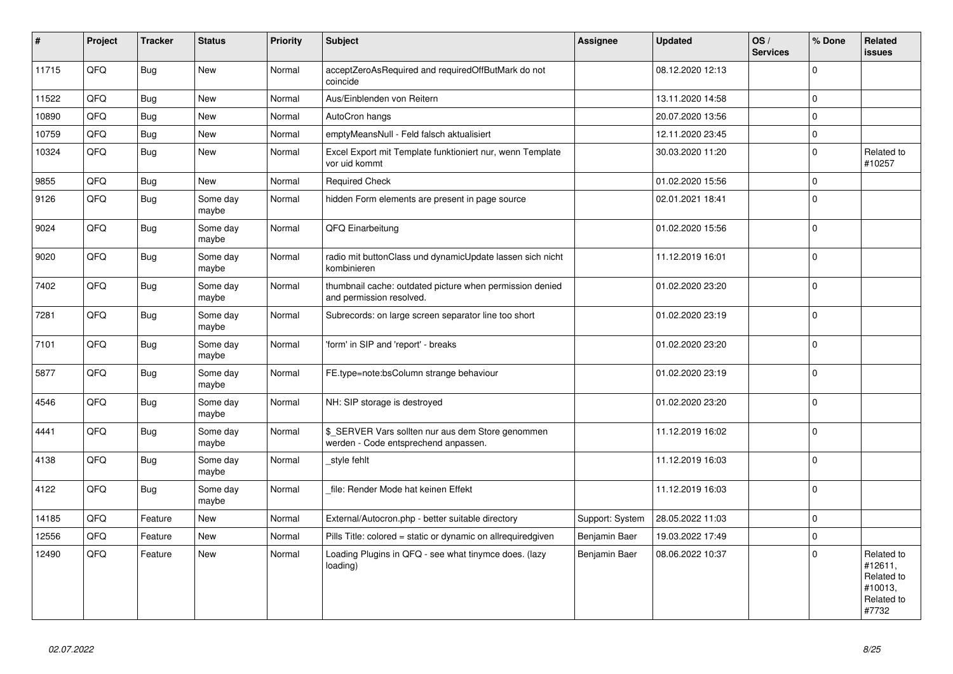| #     | Project | <b>Tracker</b> | <b>Status</b>     | <b>Priority</b> | <b>Subject</b>                                                                            | Assignee        | <b>Updated</b>   | OS/<br><b>Services</b> | % Done         | Related<br><b>issues</b>                                              |
|-------|---------|----------------|-------------------|-----------------|-------------------------------------------------------------------------------------------|-----------------|------------------|------------------------|----------------|-----------------------------------------------------------------------|
| 11715 | QFQ     | <b>Bug</b>     | <b>New</b>        | Normal          | acceptZeroAsRequired and requiredOffButMark do not<br>coincide                            |                 | 08.12.2020 12:13 |                        | $\Omega$       |                                                                       |
| 11522 | QFQ     | Bug            | <b>New</b>        | Normal          | Aus/Einblenden von Reitern                                                                |                 | 13.11.2020 14:58 |                        | $\Omega$       |                                                                       |
| 10890 | QFQ     | Bug            | <b>New</b>        | Normal          | AutoCron hangs                                                                            |                 | 20.07.2020 13:56 |                        | $\mathbf 0$    |                                                                       |
| 10759 | QFQ     | <b>Bug</b>     | <b>New</b>        | Normal          | emptyMeansNull - Feld falsch aktualisiert                                                 |                 | 12.11.2020 23:45 |                        | $\Omega$       |                                                                       |
| 10324 | QFQ     | Bug            | <b>New</b>        | Normal          | Excel Export mit Template funktioniert nur, wenn Template<br>vor uid kommt                |                 | 30.03.2020 11:20 |                        | $\mathbf 0$    | Related to<br>#10257                                                  |
| 9855  | QFQ     | Bug            | <b>New</b>        | Normal          | <b>Required Check</b>                                                                     |                 | 01.02.2020 15:56 |                        | $\Omega$       |                                                                       |
| 9126  | QFQ     | <b>Bug</b>     | Some day<br>maybe | Normal          | hidden Form elements are present in page source                                           |                 | 02.01.2021 18:41 |                        | $\overline{0}$ |                                                                       |
| 9024  | QFQ     | <b>Bug</b>     | Some day<br>maybe | Normal          | QFQ Einarbeitung                                                                          |                 | 01.02.2020 15:56 |                        | $\Omega$       |                                                                       |
| 9020  | QFQ     | <b>Bug</b>     | Some day<br>maybe | Normal          | radio mit buttonClass und dynamicUpdate lassen sich nicht<br>kombinieren                  |                 | 11.12.2019 16:01 |                        | $\mathbf 0$    |                                                                       |
| 7402  | QFQ     | <b>Bug</b>     | Some day<br>maybe | Normal          | thumbnail cache: outdated picture when permission denied<br>and permission resolved.      |                 | 01.02.2020 23:20 |                        | $\Omega$       |                                                                       |
| 7281  | QFQ     | Bug            | Some day<br>maybe | Normal          | Subrecords: on large screen separator line too short                                      |                 | 01.02.2020 23:19 |                        | $\Omega$       |                                                                       |
| 7101  | QFQ     | <b>Bug</b>     | Some day<br>maybe | Normal          | 'form' in SIP and 'report' - breaks                                                       |                 | 01.02.2020 23:20 |                        | $\Omega$       |                                                                       |
| 5877  | QFQ     | <b>Bug</b>     | Some day<br>maybe | Normal          | FE.type=note:bsColumn strange behaviour                                                   |                 | 01.02.2020 23:19 |                        | $\Omega$       |                                                                       |
| 4546  | QFQ     | <b>Bug</b>     | Some day<br>maybe | Normal          | NH: SIP storage is destroyed                                                              |                 | 01.02.2020 23:20 |                        | $\Omega$       |                                                                       |
| 4441  | QFQ     | <b>Bug</b>     | Some day<br>maybe | Normal          | \$_SERVER Vars sollten nur aus dem Store genommen<br>werden - Code entsprechend anpassen. |                 | 11.12.2019 16:02 |                        | $\Omega$       |                                                                       |
| 4138  | QFQ     | Bug            | Some day<br>maybe | Normal          | style fehlt                                                                               |                 | 11.12.2019 16:03 |                        | $\Omega$       |                                                                       |
| 4122  | QFQ     | <b>Bug</b>     | Some day<br>maybe | Normal          | file: Render Mode hat keinen Effekt                                                       |                 | 11.12.2019 16:03 |                        | $\Omega$       |                                                                       |
| 14185 | QFQ     | Feature        | <b>New</b>        | Normal          | External/Autocron.php - better suitable directory                                         | Support: System | 28.05.2022 11:03 |                        | $\Omega$       |                                                                       |
| 12556 | QFQ     | Feature        | <b>New</b>        | Normal          | Pills Title: colored = static or dynamic on allrequiredgiven                              | Benjamin Baer   | 19.03.2022 17:49 |                        | $\mathbf 0$    |                                                                       |
| 12490 | QFQ     | Feature        | <b>New</b>        | Normal          | Loading Plugins in QFQ - see what tinymce does. (lazy<br>loading)                         | Benjamin Baer   | 08.06.2022 10:37 |                        | $\Omega$       | Related to<br>#12611,<br>Related to<br>#10013,<br>Related to<br>#7732 |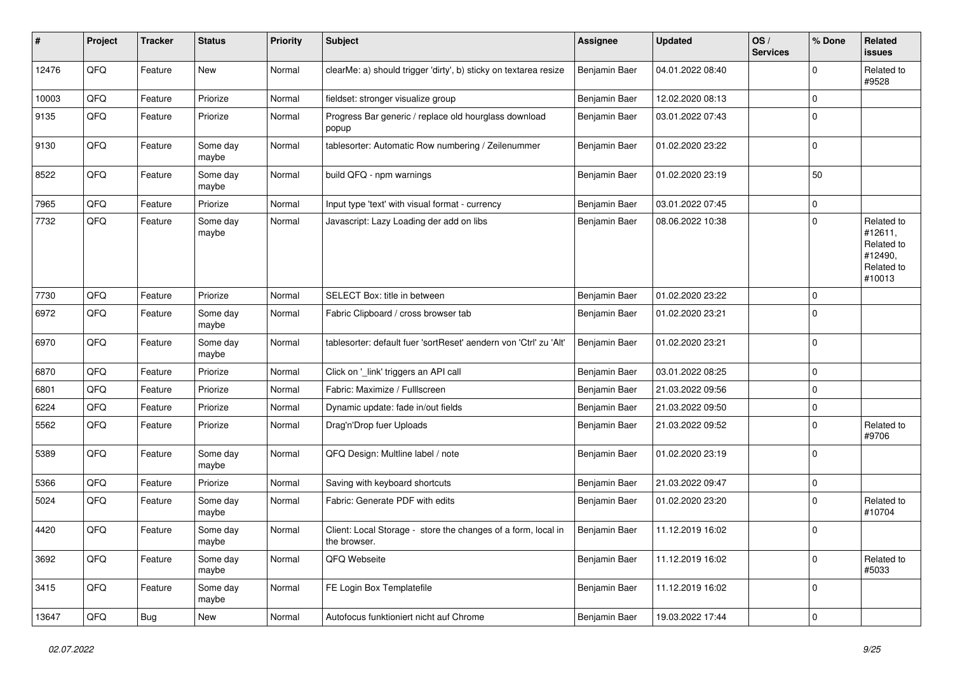| $\pmb{\#}$ | Project | <b>Tracker</b> | <b>Status</b>     | <b>Priority</b> | <b>Subject</b>                                                                | <b>Assignee</b> | <b>Updated</b>   | OS/<br><b>Services</b> | % Done      | Related<br><b>issues</b>                                               |
|------------|---------|----------------|-------------------|-----------------|-------------------------------------------------------------------------------|-----------------|------------------|------------------------|-------------|------------------------------------------------------------------------|
| 12476      | QFQ     | Feature        | New               | Normal          | clearMe: a) should trigger 'dirty', b) sticky on textarea resize              | Benjamin Baer   | 04.01.2022 08:40 |                        | $\Omega$    | Related to<br>#9528                                                    |
| 10003      | QFQ     | Feature        | Priorize          | Normal          | fieldset: stronger visualize group                                            | Benjamin Baer   | 12.02.2020 08:13 |                        | $\mathbf 0$ |                                                                        |
| 9135       | QFQ     | Feature        | Priorize          | Normal          | Progress Bar generic / replace old hourglass download<br>popup                | Benjamin Baer   | 03.01.2022 07:43 |                        | $\mathbf 0$ |                                                                        |
| 9130       | QFQ     | Feature        | Some day<br>maybe | Normal          | tablesorter: Automatic Row numbering / Zeilenummer                            | Benjamin Baer   | 01.02.2020 23:22 |                        | $\mathbf 0$ |                                                                        |
| 8522       | QFQ     | Feature        | Some day<br>maybe | Normal          | build QFQ - npm warnings                                                      | Benjamin Baer   | 01.02.2020 23:19 |                        | 50          |                                                                        |
| 7965       | QFQ     | Feature        | Priorize          | Normal          | Input type 'text' with visual format - currency                               | Benjamin Baer   | 03.01.2022 07:45 |                        | 0           |                                                                        |
| 7732       | QFQ     | Feature        | Some day<br>maybe | Normal          | Javascript: Lazy Loading der add on libs                                      | Benjamin Baer   | 08.06.2022 10:38 |                        | $\Omega$    | Related to<br>#12611,<br>Related to<br>#12490,<br>Related to<br>#10013 |
| 7730       | QFQ     | Feature        | Priorize          | Normal          | SELECT Box: title in between                                                  | Benjamin Baer   | 01.02.2020 23:22 |                        | $\Omega$    |                                                                        |
| 6972       | QFQ     | Feature        | Some day<br>maybe | Normal          | Fabric Clipboard / cross browser tab                                          | Benjamin Baer   | 01.02.2020 23:21 |                        | $\Omega$    |                                                                        |
| 6970       | QFQ     | Feature        | Some day<br>maybe | Normal          | tablesorter: default fuer 'sortReset' aendern von 'Ctrl' zu 'Alt'             | Benjamin Baer   | 01.02.2020 23:21 |                        | $\mathbf 0$ |                                                                        |
| 6870       | QFQ     | Feature        | Priorize          | Normal          | Click on '_link' triggers an API call                                         | Benjamin Baer   | 03.01.2022 08:25 |                        | $\Omega$    |                                                                        |
| 6801       | QFQ     | Feature        | Priorize          | Normal          | Fabric: Maximize / FullIscreen                                                | Benjamin Baer   | 21.03.2022 09:56 |                        | $\mathbf 0$ |                                                                        |
| 6224       | QFQ     | Feature        | Priorize          | Normal          | Dynamic update: fade in/out fields                                            | Benjamin Baer   | 21.03.2022 09:50 |                        | $\mathbf 0$ |                                                                        |
| 5562       | QFQ     | Feature        | Priorize          | Normal          | Drag'n'Drop fuer Uploads                                                      | Benjamin Baer   | 21.03.2022 09:52 |                        | 0           | Related to<br>#9706                                                    |
| 5389       | QFQ     | Feature        | Some day<br>maybe | Normal          | QFQ Design: Multline label / note                                             | Benjamin Baer   | 01.02.2020 23:19 |                        | $\Omega$    |                                                                        |
| 5366       | QFQ     | Feature        | Priorize          | Normal          | Saving with keyboard shortcuts                                                | Benjamin Baer   | 21.03.2022 09:47 |                        | $\mathbf 0$ |                                                                        |
| 5024       | QFQ     | Feature        | Some day<br>maybe | Normal          | Fabric: Generate PDF with edits                                               | Benjamin Baer   | 01.02.2020 23:20 |                        | $\Omega$    | Related to<br>#10704                                                   |
| 4420       | QFQ     | Feature        | Some day<br>maybe | Normal          | Client: Local Storage - store the changes of a form, local in<br>the browser. | Benjamin Baer   | 11.12.2019 16:02 |                        | $\mathbf 0$ |                                                                        |
| 3692       | QFQ     | Feature        | Some day<br>maybe | Normal          | QFQ Webseite                                                                  | Benjamin Baer   | 11.12.2019 16:02 |                        | 0           | Related to<br>#5033                                                    |
| 3415       | QFQ     | Feature        | Some day<br>maybe | Normal          | FE Login Box Templatefile                                                     | Benjamin Baer   | 11.12.2019 16:02 |                        | $\mathbf 0$ |                                                                        |
| 13647      | QFG     | Bug            | New               | Normal          | Autofocus funktioniert nicht auf Chrome                                       | Benjamin Baer   | 19.03.2022 17:44 |                        | $\mathbf 0$ |                                                                        |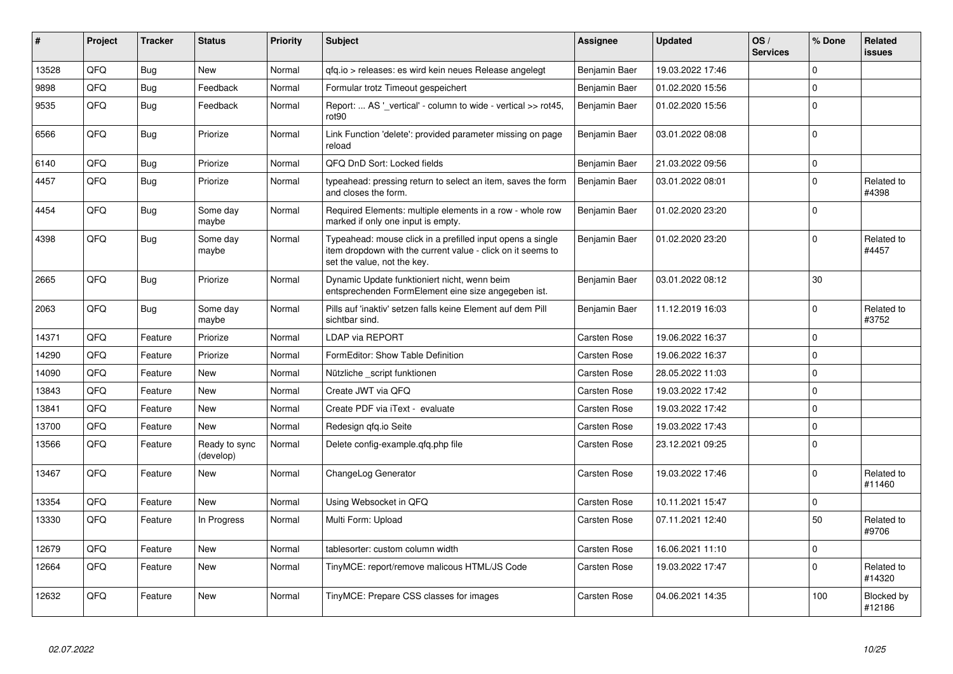| #     | Project | <b>Tracker</b> | <b>Status</b>              | <b>Priority</b> | <b>Subject</b>                                                                                                                                           | Assignee            | <b>Updated</b>   | OS/<br><b>Services</b> | % Done      | Related<br>issues    |
|-------|---------|----------------|----------------------------|-----------------|----------------------------------------------------------------------------------------------------------------------------------------------------------|---------------------|------------------|------------------------|-------------|----------------------|
| 13528 | QFQ     | <b>Bug</b>     | <b>New</b>                 | Normal          | qfq.io > releases: es wird kein neues Release angelegt                                                                                                   | Benjamin Baer       | 19.03.2022 17:46 |                        | $\Omega$    |                      |
| 9898  | QFQ     | <b>Bug</b>     | Feedback                   | Normal          | Formular trotz Timeout gespeichert                                                                                                                       | Benjamin Baer       | 01.02.2020 15:56 |                        | $\Omega$    |                      |
| 9535  | QFQ     | Bug            | Feedback                   | Normal          | Report:  AS '_vertical' - column to wide - vertical >> rot45,<br>rot90                                                                                   | Benjamin Baer       | 01.02.2020 15:56 |                        | $\mathbf 0$ |                      |
| 6566  | QFQ     | Bug            | Priorize                   | Normal          | Link Function 'delete': provided parameter missing on page<br>reload                                                                                     | Benjamin Baer       | 03.01.2022 08:08 |                        | $\Omega$    |                      |
| 6140  | QFQ     | <b>Bug</b>     | Priorize                   | Normal          | QFQ DnD Sort: Locked fields                                                                                                                              | Benjamin Baer       | 21.03.2022 09:56 |                        | $\mathbf 0$ |                      |
| 4457  | QFQ     | Bug            | Priorize                   | Normal          | typeahead: pressing return to select an item, saves the form<br>and closes the form.                                                                     | Benjamin Baer       | 03.01.2022 08:01 |                        | $\Omega$    | Related to<br>#4398  |
| 4454  | QFQ     | <b>Bug</b>     | Some day<br>maybe          | Normal          | Required Elements: multiple elements in a row - whole row<br>marked if only one input is empty.                                                          | Benjamin Baer       | 01.02.2020 23:20 |                        | $\Omega$    |                      |
| 4398  | QFQ     | Bug            | Some dav<br>maybe          | Normal          | Typeahead: mouse click in a prefilled input opens a single<br>item dropdown with the current value - click on it seems to<br>set the value, not the key. | Benjamin Baer       | 01.02.2020 23:20 |                        | $\Omega$    | Related to<br>#4457  |
| 2665  | QFQ     | <b>Bug</b>     | Priorize                   | Normal          | Dynamic Update funktioniert nicht, wenn beim<br>entsprechenden FormElement eine size angegeben ist.                                                      | Benjamin Baer       | 03.01.2022 08:12 |                        | 30          |                      |
| 2063  | QFQ     | <b>Bug</b>     | Some day<br>maybe          | Normal          | Pills auf 'inaktiv' setzen falls keine Element auf dem Pill<br>sichtbar sind.                                                                            | Benjamin Baer       | 11.12.2019 16:03 |                        | $\Omega$    | Related to<br>#3752  |
| 14371 | QFQ     | Feature        | Priorize                   | Normal          | <b>LDAP via REPORT</b>                                                                                                                                   | Carsten Rose        | 19.06.2022 16:37 |                        | $\Omega$    |                      |
| 14290 | QFQ     | Feature        | Priorize                   | Normal          | FormEditor: Show Table Definition                                                                                                                        | <b>Carsten Rose</b> | 19.06.2022 16:37 |                        | $\Omega$    |                      |
| 14090 | QFQ     | Feature        | New                        | Normal          | Nützliche _script funktionen                                                                                                                             | Carsten Rose        | 28.05.2022 11:03 |                        | $\Omega$    |                      |
| 13843 | QFQ     | Feature        | New                        | Normal          | Create JWT via QFQ                                                                                                                                       | Carsten Rose        | 19.03.2022 17:42 |                        | $\mathbf 0$ |                      |
| 13841 | QFQ     | Feature        | <b>New</b>                 | Normal          | Create PDF via iText - evaluate                                                                                                                          | Carsten Rose        | 19.03.2022 17:42 |                        | $\Omega$    |                      |
| 13700 | QFQ     | Feature        | <b>New</b>                 | Normal          | Redesign gfg.io Seite                                                                                                                                    | Carsten Rose        | 19.03.2022 17:43 |                        | $\Omega$    |                      |
| 13566 | QFQ     | Feature        | Ready to sync<br>(develop) | Normal          | Delete config-example.qfq.php file                                                                                                                       | Carsten Rose        | 23.12.2021 09:25 |                        | $\Omega$    |                      |
| 13467 | QFQ     | Feature        | <b>New</b>                 | Normal          | ChangeLog Generator                                                                                                                                      | Carsten Rose        | 19.03.2022 17:46 |                        | $\Omega$    | Related to<br>#11460 |
| 13354 | QFQ     | Feature        | <b>New</b>                 | Normal          | Using Websocket in QFQ                                                                                                                                   | Carsten Rose        | 10.11.2021 15:47 |                        | $\Omega$    |                      |
| 13330 | QFQ     | Feature        | In Progress                | Normal          | Multi Form: Upload                                                                                                                                       | Carsten Rose        | 07.11.2021 12:40 |                        | 50          | Related to<br>#9706  |
| 12679 | QFQ     | Feature        | <b>New</b>                 | Normal          | tablesorter: custom column width                                                                                                                         | Carsten Rose        | 16.06.2021 11:10 |                        | $\mathbf 0$ |                      |
| 12664 | QFQ     | Feature        | <b>New</b>                 | Normal          | TinyMCE: report/remove malicous HTML/JS Code                                                                                                             | Carsten Rose        | 19.03.2022 17:47 |                        | $\Omega$    | Related to<br>#14320 |
| 12632 | QFQ     | Feature        | New                        | Normal          | TinyMCE: Prepare CSS classes for images                                                                                                                  | Carsten Rose        | 04.06.2021 14:35 |                        | 100         | Blocked by<br>#12186 |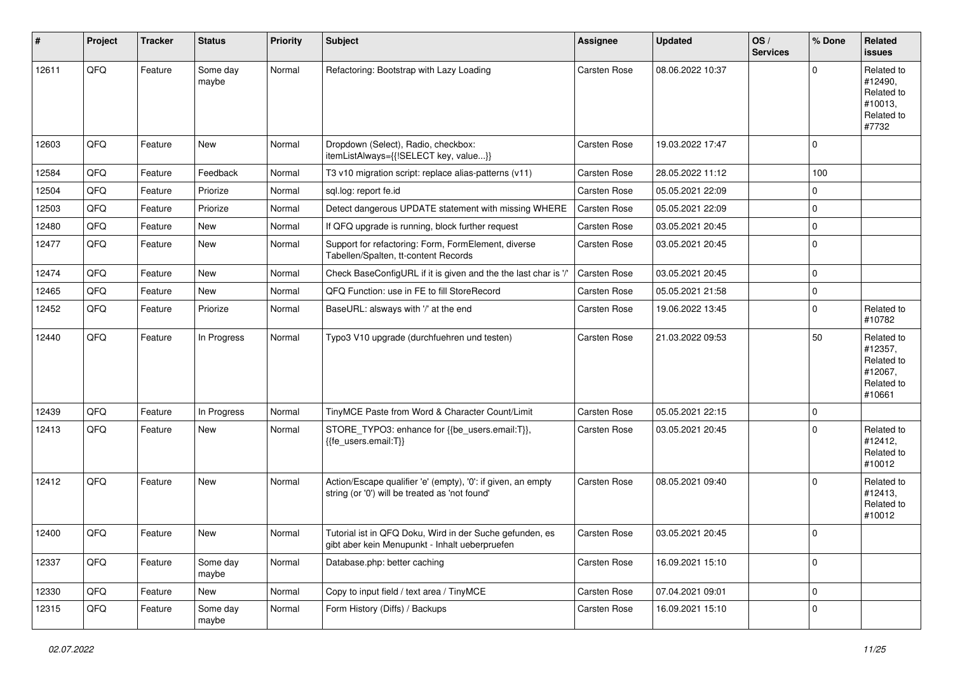| #     | Project | <b>Tracker</b> | <b>Status</b>     | <b>Priority</b> | <b>Subject</b>                                                                                                 | <b>Assignee</b>     | <b>Updated</b>   | OS/<br><b>Services</b> | % Done      | Related<br><b>issues</b>                                               |
|-------|---------|----------------|-------------------|-----------------|----------------------------------------------------------------------------------------------------------------|---------------------|------------------|------------------------|-------------|------------------------------------------------------------------------|
| 12611 | QFQ     | Feature        | Some day<br>maybe | Normal          | Refactoring: Bootstrap with Lazy Loading                                                                       | Carsten Rose        | 08.06.2022 10:37 |                        | $\Omega$    | Related to<br>#12490,<br>Related to<br>#10013,<br>Related to<br>#7732  |
| 12603 | QFQ     | Feature        | <b>New</b>        | Normal          | Dropdown (Select), Radio, checkbox:<br>itemListAlways={{!SELECT key, value}}                                   | <b>Carsten Rose</b> | 19.03.2022 17:47 |                        | $\mathbf 0$ |                                                                        |
| 12584 | QFQ     | Feature        | Feedback          | Normal          | T3 v10 migration script: replace alias-patterns (v11)                                                          | Carsten Rose        | 28.05.2022 11:12 |                        | 100         |                                                                        |
| 12504 | QFQ     | Feature        | Priorize          | Normal          | sql.log: report fe.id                                                                                          | Carsten Rose        | 05.05.2021 22:09 |                        | 0           |                                                                        |
| 12503 | QFQ     | Feature        | Priorize          | Normal          | Detect dangerous UPDATE statement with missing WHERE                                                           | <b>Carsten Rose</b> | 05.05.2021 22:09 |                        | $\mathbf 0$ |                                                                        |
| 12480 | QFQ     | Feature        | <b>New</b>        | Normal          | If QFQ upgrade is running, block further request                                                               | Carsten Rose        | 03.05.2021 20:45 |                        | $\mathbf 0$ |                                                                        |
| 12477 | QFQ     | Feature        | New               | Normal          | Support for refactoring: Form, FormElement, diverse<br>Tabellen/Spalten, tt-content Records                    | Carsten Rose        | 03.05.2021 20:45 |                        | $\Omega$    |                                                                        |
| 12474 | QFQ     | Feature        | <b>New</b>        | Normal          | Check BaseConfigURL if it is given and the the last char is '/                                                 | Carsten Rose        | 03.05.2021 20:45 |                        | $\mathbf 0$ |                                                                        |
| 12465 | QFQ     | Feature        | New               | Normal          | QFQ Function: use in FE to fill StoreRecord                                                                    | Carsten Rose        | 05.05.2021 21:58 |                        | $\mathbf 0$ |                                                                        |
| 12452 | QFQ     | Feature        | Priorize          | Normal          | BaseURL: alsways with '/' at the end                                                                           | Carsten Rose        | 19.06.2022 13:45 |                        | $\Omega$    | Related to<br>#10782                                                   |
| 12440 | QFQ     | Feature        | In Progress       | Normal          | Typo3 V10 upgrade (durchfuehren und testen)                                                                    | Carsten Rose        | 21.03.2022 09:53 |                        | 50          | Related to<br>#12357,<br>Related to<br>#12067,<br>Related to<br>#10661 |
| 12439 | QFQ     | Feature        | In Progress       | Normal          | TinyMCE Paste from Word & Character Count/Limit                                                                | Carsten Rose        | 05.05.2021 22:15 |                        | $\mathbf 0$ |                                                                        |
| 12413 | QFQ     | Feature        | New               | Normal          | STORE_TYPO3: enhance for {{be_users.email:T}},<br>{{fe users.email:T}}                                         | Carsten Rose        | 03.05.2021 20:45 |                        | $\Omega$    | Related to<br>#12412,<br>Related to<br>#10012                          |
| 12412 | QFQ     | Feature        | New               | Normal          | Action/Escape qualifier 'e' (empty), '0': if given, an empty<br>string (or '0') will be treated as 'not found' | Carsten Rose        | 08.05.2021 09:40 |                        | $\Omega$    | Related to<br>#12413,<br>Related to<br>#10012                          |
| 12400 | QFQ     | Feature        | <b>New</b>        | Normal          | Tutorial ist in QFQ Doku, Wird in der Suche gefunden, es<br>gibt aber kein Menupunkt - Inhalt ueberpruefen     | Carsten Rose        | 03.05.2021 20:45 |                        | l 0         |                                                                        |
| 12337 | QFQ     | Feature        | Some day<br>maybe | Normal          | Database.php: better caching                                                                                   | Carsten Rose        | 16.09.2021 15:10 |                        | $\mathbf 0$ |                                                                        |
| 12330 | QFQ     | Feature        | New               | Normal          | Copy to input field / text area / TinyMCE                                                                      | Carsten Rose        | 07.04.2021 09:01 |                        | 0           |                                                                        |
| 12315 | QFQ     | Feature        | Some day<br>maybe | Normal          | Form History (Diffs) / Backups                                                                                 | Carsten Rose        | 16.09.2021 15:10 |                        | 0           |                                                                        |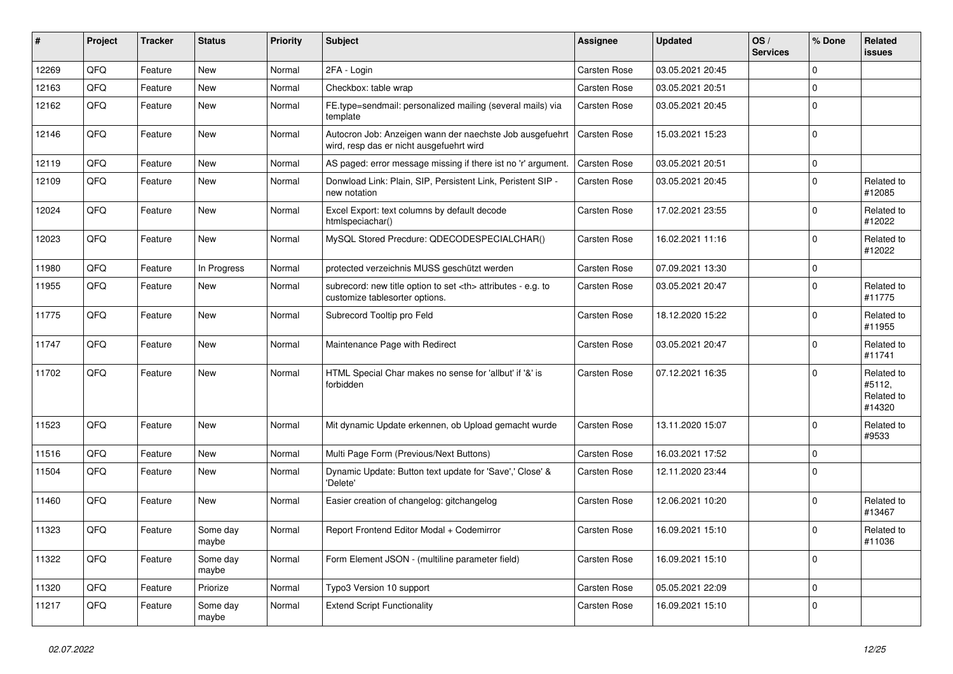| ∦     | Project | <b>Tracker</b> | <b>Status</b>     | <b>Priority</b> | <b>Subject</b>                                                                                       | Assignee                                               | <b>Updated</b>   | OS/<br><b>Services</b> | % Done      | Related<br><b>issues</b>                     |                      |
|-------|---------|----------------|-------------------|-----------------|------------------------------------------------------------------------------------------------------|--------------------------------------------------------|------------------|------------------------|-------------|----------------------------------------------|----------------------|
| 12269 | QFQ     | Feature        | <b>New</b>        | Normal          | 2FA - Login                                                                                          | <b>Carsten Rose</b>                                    | 03.05.2021 20:45 |                        | $\Omega$    |                                              |                      |
| 12163 | QFQ     | Feature        | New               | Normal          | Checkbox: table wrap                                                                                 | Carsten Rose                                           | 03.05.2021 20:51 |                        | 0           |                                              |                      |
| 12162 | QFQ     | Feature        | New               | Normal          | FE.type=sendmail: personalized mailing (several mails) via<br>template                               | Carsten Rose                                           | 03.05.2021 20:45 |                        | $\mathbf 0$ |                                              |                      |
| 12146 | QFQ     | Feature        | New               | Normal          | Autocron Job: Anzeigen wann der naechste Job ausgefuehrt<br>wird, resp das er nicht ausgefuehrt wird | Carsten Rose                                           | 15.03.2021 15:23 |                        | $\Omega$    |                                              |                      |
| 12119 | QFQ     | Feature        | New               | Normal          | AS paged: error message missing if there ist no 'r' argument.                                        | Carsten Rose                                           | 03.05.2021 20:51 |                        | $\mathbf 0$ |                                              |                      |
| 12109 | QFQ     | Feature        | New               | Normal          | Donwload Link: Plain, SIP, Persistent Link, Peristent SIP -<br>new notation                          | Carsten Rose                                           | 03.05.2021 20:45 |                        | $\Omega$    | Related to<br>#12085                         |                      |
| 12024 | QFQ     | Feature        | New               | Normal          | Excel Export: text columns by default decode<br>htmlspeciachar()                                     | Carsten Rose                                           | 17.02.2021 23:55 |                        | $\Omega$    | Related to<br>#12022                         |                      |
| 12023 | QFQ     | Feature        | New               | Normal          | MySQL Stored Precdure: QDECODESPECIALCHAR()                                                          | Carsten Rose                                           | 16.02.2021 11:16 |                        | $\Omega$    | Related to<br>#12022                         |                      |
| 11980 | QFQ     | Feature        | In Progress       | Normal          | protected verzeichnis MUSS geschützt werden                                                          | Carsten Rose                                           | 07.09.2021 13:30 |                        | $\mathbf 0$ |                                              |                      |
| 11955 | QFQ     | Feature        | New               | Normal          | subrecord: new title option to set <th> attributes - e.g. to<br/>customize tablesorter options.</th> | attributes - e.g. to<br>customize tablesorter options. | Carsten Rose     | 03.05.2021 20:47       |             | $\Omega$                                     | Related to<br>#11775 |
| 11775 | QFQ     | Feature        | New               | Normal          | Subrecord Tooltip pro Feld                                                                           | Carsten Rose                                           | 18.12.2020 15:22 |                        | $\Omega$    | Related to<br>#11955                         |                      |
| 11747 | QFQ     | Feature        | New               | Normal          | Maintenance Page with Redirect                                                                       | Carsten Rose                                           | 03.05.2021 20:47 |                        | 0           | Related to<br>#11741                         |                      |
| 11702 | QFQ     | Feature        | New               | Normal          | HTML Special Char makes no sense for 'allbut' if '&' is<br>forbidden                                 | Carsten Rose                                           | 07.12.2021 16:35 |                        | $\Omega$    | Related to<br>#5112,<br>Related to<br>#14320 |                      |
| 11523 | QFQ     | Feature        | New               | Normal          | Mit dynamic Update erkennen, ob Upload gemacht wurde                                                 | Carsten Rose                                           | 13.11.2020 15:07 |                        | $\Omega$    | Related to<br>#9533                          |                      |
| 11516 | QFQ     | Feature        | <b>New</b>        | Normal          | Multi Page Form (Previous/Next Buttons)                                                              | Carsten Rose                                           | 16.03.2021 17:52 |                        | $\Omega$    |                                              |                      |
| 11504 | QFQ     | Feature        | New               | Normal          | Dynamic Update: Button text update for 'Save',' Close' &<br>'Delete'                                 | Carsten Rose                                           | 12.11.2020 23:44 |                        | 0           |                                              |                      |
| 11460 | QFQ     | Feature        | New               | Normal          | Easier creation of changelog: gitchangelog                                                           | Carsten Rose                                           | 12.06.2021 10:20 |                        | $\Omega$    | Related to<br>#13467                         |                      |
| 11323 | QFQ     | Feature        | Some day<br>maybe | Normal          | Report Frontend Editor Modal + Codemirror                                                            | Carsten Rose                                           | 16.09.2021 15:10 |                        | $\Omega$    | Related to<br>#11036                         |                      |
| 11322 | QFQ     | Feature        | Some day<br>maybe | Normal          | Form Element JSON - (multiline parameter field)                                                      | Carsten Rose                                           | 16.09.2021 15:10 |                        | $\mathbf 0$ |                                              |                      |
| 11320 | QFO     | Feature        | Priorize          | Normal          | Typo3 Version 10 support                                                                             | Carsten Rose                                           | 05.05.2021 22:09 |                        | $\mathbf 0$ |                                              |                      |
| 11217 | QFQ     | Feature        | Some day<br>maybe | Normal          | <b>Extend Script Functionality</b>                                                                   | Carsten Rose                                           | 16.09.2021 15:10 |                        | 0           |                                              |                      |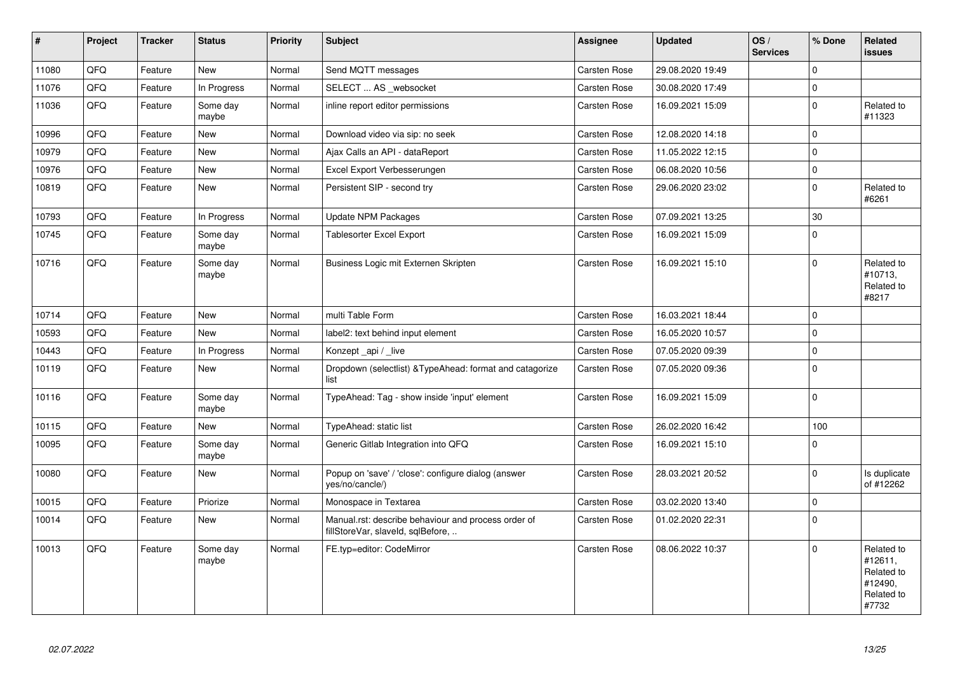| $\vert$ # | Project | <b>Tracker</b> | <b>Status</b>     | Priority | <b>Subject</b>                                                                           | Assignee            | <b>Updated</b>   | OS/<br><b>Services</b> | % Done      | Related<br><b>issues</b>                                              |
|-----------|---------|----------------|-------------------|----------|------------------------------------------------------------------------------------------|---------------------|------------------|------------------------|-------------|-----------------------------------------------------------------------|
| 11080     | QFQ     | Feature        | New               | Normal   | Send MQTT messages                                                                       | Carsten Rose        | 29.08.2020 19:49 |                        | $\Omega$    |                                                                       |
| 11076     | QFQ     | Feature        | In Progress       | Normal   | SELECT  AS websocket                                                                     | <b>Carsten Rose</b> | 30.08.2020 17:49 |                        | $\mathbf 0$ |                                                                       |
| 11036     | QFQ     | Feature        | Some day<br>maybe | Normal   | inline report editor permissions                                                         | Carsten Rose        | 16.09.2021 15:09 |                        | $\Omega$    | Related to<br>#11323                                                  |
| 10996     | QFQ     | Feature        | <b>New</b>        | Normal   | Download video via sip: no seek                                                          | Carsten Rose        | 12.08.2020 14:18 |                        | $\Omega$    |                                                                       |
| 10979     | QFQ     | Feature        | New               | Normal   | Ajax Calls an API - dataReport                                                           | Carsten Rose        | 11.05.2022 12:15 |                        | $\Omega$    |                                                                       |
| 10976     | QFQ     | Feature        | New               | Normal   | Excel Export Verbesserungen                                                              | <b>Carsten Rose</b> | 06.08.2020 10:56 |                        | $\mathbf 0$ |                                                                       |
| 10819     | QFQ     | Feature        | <b>New</b>        | Normal   | Persistent SIP - second try                                                              | Carsten Rose        | 29.06.2020 23:02 |                        | $\Omega$    | Related to<br>#6261                                                   |
| 10793     | QFQ     | Feature        | In Progress       | Normal   | Update NPM Packages                                                                      | <b>Carsten Rose</b> | 07.09.2021 13:25 |                        | 30          |                                                                       |
| 10745     | QFQ     | Feature        | Some day<br>maybe | Normal   | <b>Tablesorter Excel Export</b>                                                          | <b>Carsten Rose</b> | 16.09.2021 15:09 |                        | $\Omega$    |                                                                       |
| 10716     | QFQ     | Feature        | Some day<br>maybe | Normal   | Business Logic mit Externen Skripten                                                     | <b>Carsten Rose</b> | 16.09.2021 15:10 |                        | $\Omega$    | Related to<br>#10713,<br>Related to<br>#8217                          |
| 10714     | QFQ     | Feature        | New               | Normal   | multi Table Form                                                                         | <b>Carsten Rose</b> | 16.03.2021 18:44 |                        | $\mathbf 0$ |                                                                       |
| 10593     | QFQ     | Feature        | <b>New</b>        | Normal   | label2: text behind input element                                                        | <b>Carsten Rose</b> | 16.05.2020 10:57 |                        | $\Omega$    |                                                                       |
| 10443     | QFQ     | Feature        | In Progress       | Normal   | Konzept api / live                                                                       | Carsten Rose        | 07.05.2020 09:39 |                        | $\mathbf 0$ |                                                                       |
| 10119     | QFQ     | Feature        | <b>New</b>        | Normal   | Dropdown (selectlist) & TypeAhead: format and catagorize<br>list                         | <b>Carsten Rose</b> | 07.05.2020 09:36 |                        | $\Omega$    |                                                                       |
| 10116     | QFQ     | Feature        | Some day<br>maybe | Normal   | TypeAhead: Tag - show inside 'input' element                                             | Carsten Rose        | 16.09.2021 15:09 |                        | $\Omega$    |                                                                       |
| 10115     | QFQ     | Feature        | New               | Normal   | TypeAhead: static list                                                                   | Carsten Rose        | 26.02.2020 16:42 |                        | 100         |                                                                       |
| 10095     | QFQ     | Feature        | Some day<br>maybe | Normal   | Generic Gitlab Integration into QFQ                                                      | <b>Carsten Rose</b> | 16.09.2021 15:10 |                        | $\Omega$    |                                                                       |
| 10080     | QFQ     | Feature        | New               | Normal   | Popup on 'save' / 'close': configure dialog (answer<br>yes/no/cancle/)                   | <b>Carsten Rose</b> | 28.03.2021 20:52 |                        | $\Omega$    | Is duplicate<br>of #12262                                             |
| 10015     | QFQ     | Feature        | Priorize          | Normal   | Monospace in Textarea                                                                    | Carsten Rose        | 03.02.2020 13:40 |                        | $\mathbf 0$ |                                                                       |
| 10014     | QFQ     | Feature        | New               | Normal   | Manual.rst: describe behaviour and process order of<br>fillStoreVar, slaveId, sqlBefore, | <b>Carsten Rose</b> | 01.02.2020 22:31 |                        | $\Omega$    |                                                                       |
| 10013     | QFQ     | Feature        | Some day<br>maybe | Normal   | FE.typ=editor: CodeMirror                                                                | <b>Carsten Rose</b> | 08.06.2022 10:37 |                        | $\Omega$    | Related to<br>#12611,<br>Related to<br>#12490,<br>Related to<br>#7732 |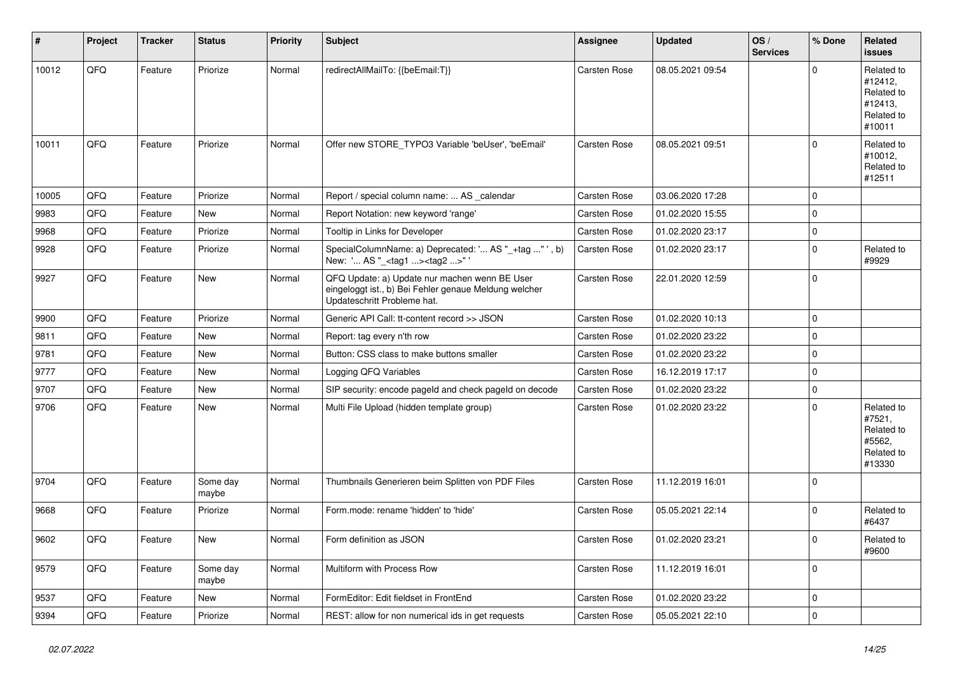| #     | Project    | <b>Tracker</b> | <b>Status</b>     | <b>Priority</b> | Subject                                                                                                                               | Assignee     | <b>Updated</b>   | OS/<br><b>Services</b> | % Done      | Related<br>issues                                                      |
|-------|------------|----------------|-------------------|-----------------|---------------------------------------------------------------------------------------------------------------------------------------|--------------|------------------|------------------------|-------------|------------------------------------------------------------------------|
| 10012 | QFQ        | Feature        | Priorize          | Normal          | redirectAllMailTo: {{beEmail:T}}                                                                                                      | Carsten Rose | 08.05.2021 09:54 |                        | $\Omega$    | Related to<br>#12412,<br>Related to<br>#12413.<br>Related to<br>#10011 |
| 10011 | QFQ        | Feature        | Priorize          | Normal          | Offer new STORE TYPO3 Variable 'beUser', 'beEmail'                                                                                    | Carsten Rose | 08.05.2021 09:51 |                        | $\Omega$    | Related to<br>#10012,<br>Related to<br>#12511                          |
| 10005 | QFQ        | Feature        | Priorize          | Normal          | Report / special column name:  AS calendar                                                                                            | Carsten Rose | 03.06.2020 17:28 |                        | $\Omega$    |                                                                        |
| 9983  | QFQ        | Feature        | New               | Normal          | Report Notation: new keyword 'range'                                                                                                  | Carsten Rose | 01.02.2020 15:55 |                        | $\Omega$    |                                                                        |
| 9968  | QFQ        | Feature        | Priorize          | Normal          | Tooltip in Links for Developer                                                                                                        | Carsten Rose | 01.02.2020 23:17 |                        | $\mathbf 0$ |                                                                        |
| 9928  | QFQ        | Feature        | Priorize          | Normal          | SpecialColumnName: a) Deprecated: ' AS "_+tag " ', b)<br>New: ' AS "_ <tag1><tag2>"'</tag2></tag1>                                    | Carsten Rose | 01.02.2020 23:17 |                        | $\Omega$    | Related to<br>#9929                                                    |
| 9927  | QFQ        | Feature        | New               | Normal          | QFQ Update: a) Update nur machen wenn BE User<br>eingeloggt ist., b) Bei Fehler genaue Meldung welcher<br>Updateschritt Probleme hat. | Carsten Rose | 22.01.2020 12:59 |                        | $\Omega$    |                                                                        |
| 9900  | QFQ        | Feature        | Priorize          | Normal          | Generic API Call: tt-content record >> JSON                                                                                           | Carsten Rose | 01.02.2020 10:13 |                        | $\mathbf 0$ |                                                                        |
| 9811  | QFQ        | Feature        | New               | Normal          | Report: tag every n'th row                                                                                                            | Carsten Rose | 01.02.2020 23:22 |                        | $\Omega$    |                                                                        |
| 9781  | QFQ        | Feature        | New               | Normal          | Button: CSS class to make buttons smaller                                                                                             | Carsten Rose | 01.02.2020 23:22 |                        | $\mathbf 0$ |                                                                        |
| 9777  | QFQ        | Feature        | New               | Normal          | Logging QFQ Variables                                                                                                                 | Carsten Rose | 16.12.2019 17:17 |                        | $\Omega$    |                                                                        |
| 9707  | QFQ        | Feature        | New               | Normal          | SIP security: encode pageld and check pageld on decode                                                                                | Carsten Rose | 01.02.2020 23:22 |                        | $\mathbf 0$ |                                                                        |
| 9706  | QFQ        | Feature        | New               | Normal          | Multi File Upload (hidden template group)                                                                                             | Carsten Rose | 01.02.2020 23:22 |                        | $\Omega$    | Related to<br>#7521,<br>Related to<br>#5562,<br>Related to<br>#13330   |
| 9704  | QFQ        | Feature        | Some day<br>maybe | Normal          | Thumbnails Generieren beim Splitten von PDF Files                                                                                     | Carsten Rose | 11.12.2019 16:01 |                        | $\Omega$    |                                                                        |
| 9668  | QFQ        | Feature        | Priorize          | Normal          | Form.mode: rename 'hidden' to 'hide'                                                                                                  | Carsten Rose | 05.05.2021 22:14 |                        | $\Omega$    | Related to<br>#6437                                                    |
| 9602  | <b>QFQ</b> | Feature        | New               | Normal          | Form definition as JSON                                                                                                               | Carsten Rose | 01.02.2020 23:21 |                        | 0           | Related to<br>#9600                                                    |
| 9579  | QFQ        | Feature        | Some day<br>maybe | Normal          | Multiform with Process Row                                                                                                            | Carsten Rose | 11.12.2019 16:01 |                        | $\mathbf 0$ |                                                                        |
| 9537  | QFQ        | Feature        | New               | Normal          | FormEditor: Edit fieldset in FrontEnd                                                                                                 | Carsten Rose | 01.02.2020 23:22 |                        | 0           |                                                                        |
| 9394  | QFQ        | Feature        | Priorize          | Normal          | REST: allow for non numerical ids in get requests                                                                                     | Carsten Rose | 05.05.2021 22:10 |                        | $\mathbf 0$ |                                                                        |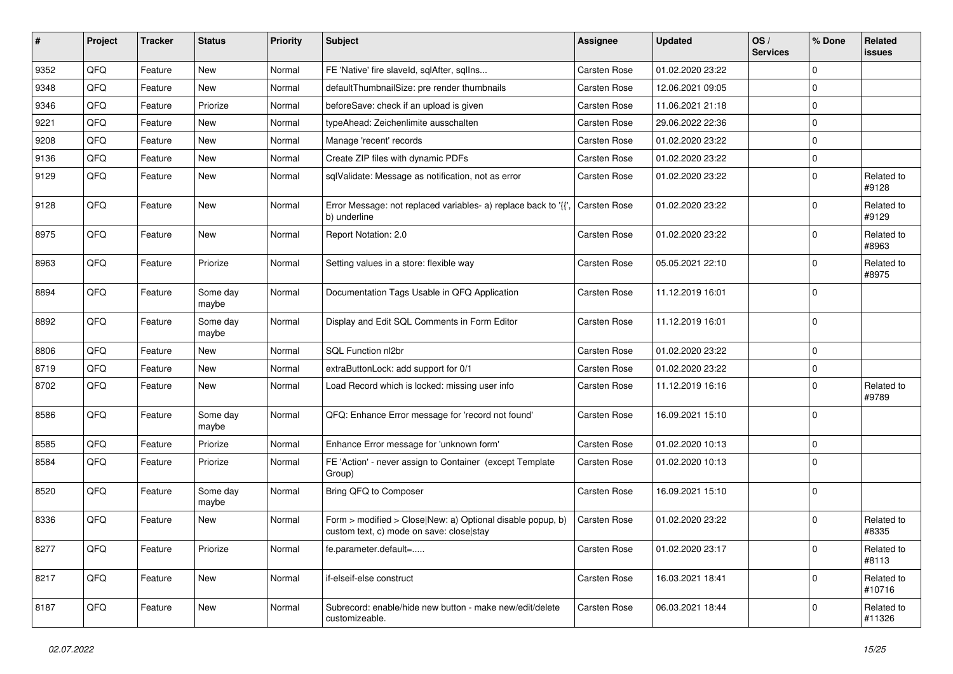| #    | Project | <b>Tracker</b> | <b>Status</b>     | <b>Priority</b> | Subject                                                                                                | Assignee     | <b>Updated</b>   | OS/<br><b>Services</b> | % Done         | Related<br>issues    |
|------|---------|----------------|-------------------|-----------------|--------------------------------------------------------------------------------------------------------|--------------|------------------|------------------------|----------------|----------------------|
| 9352 | QFQ     | Feature        | New               | Normal          | FE 'Native' fire slaveld, sqlAfter, sqlIns                                                             | Carsten Rose | 01.02.2020 23:22 |                        | $\Omega$       |                      |
| 9348 | QFQ     | Feature        | New               | Normal          | defaultThumbnailSize: pre render thumbnails                                                            | Carsten Rose | 12.06.2021 09:05 |                        | $\Omega$       |                      |
| 9346 | QFQ     | Feature        | Priorize          | Normal          | beforeSave: check if an upload is given                                                                | Carsten Rose | 11.06.2021 21:18 |                        | $\Omega$       |                      |
| 9221 | QFQ     | Feature        | New               | Normal          | typeAhead: Zeichenlimite ausschalten                                                                   | Carsten Rose | 29.06.2022 22:36 |                        | $\Omega$       |                      |
| 9208 | QFQ     | Feature        | New               | Normal          | Manage 'recent' records                                                                                | Carsten Rose | 01.02.2020 23:22 |                        | $\Omega$       |                      |
| 9136 | QFQ     | Feature        | New               | Normal          | Create ZIP files with dynamic PDFs                                                                     | Carsten Rose | 01.02.2020 23:22 |                        | $\Omega$       |                      |
| 9129 | QFQ     | Feature        | New               | Normal          | sqlValidate: Message as notification, not as error                                                     | Carsten Rose | 01.02.2020 23:22 |                        | 0              | Related to<br>#9128  |
| 9128 | QFQ     | Feature        | New               | Normal          | Error Message: not replaced variables- a) replace back to '{{',<br>b) underline                        | Carsten Rose | 01.02.2020 23:22 |                        | $\mathbf 0$    | Related to<br>#9129  |
| 8975 | QFQ     | Feature        | New               | Normal          | Report Notation: 2.0                                                                                   | Carsten Rose | 01.02.2020 23:22 |                        | $\Omega$       | Related to<br>#8963  |
| 8963 | QFQ     | Feature        | Priorize          | Normal          | Setting values in a store: flexible way                                                                | Carsten Rose | 05.05.2021 22:10 |                        | $\Omega$       | Related to<br>#8975  |
| 8894 | QFQ     | Feature        | Some day<br>maybe | Normal          | Documentation Tags Usable in QFQ Application                                                           | Carsten Rose | 11.12.2019 16:01 |                        | $\Omega$       |                      |
| 8892 | QFQ     | Feature        | Some day<br>maybe | Normal          | Display and Edit SQL Comments in Form Editor                                                           | Carsten Rose | 11.12.2019 16:01 |                        | $\Omega$       |                      |
| 8806 | QFQ     | Feature        | New               | Normal          | SQL Function nl2br                                                                                     | Carsten Rose | 01.02.2020 23:22 |                        | $\Omega$       |                      |
| 8719 | QFQ     | Feature        | New               | Normal          | extraButtonLock: add support for 0/1                                                                   | Carsten Rose | 01.02.2020 23:22 |                        | $\mathbf 0$    |                      |
| 8702 | QFQ     | Feature        | New               | Normal          | Load Record which is locked: missing user info                                                         | Carsten Rose | 11.12.2019 16:16 |                        | $\Omega$       | Related to<br>#9789  |
| 8586 | QFQ     | Feature        | Some day<br>maybe | Normal          | QFQ: Enhance Error message for 'record not found'                                                      | Carsten Rose | 16.09.2021 15:10 |                        | $\Omega$       |                      |
| 8585 | QFQ     | Feature        | Priorize          | Normal          | Enhance Error message for 'unknown form'                                                               | Carsten Rose | 01.02.2020 10:13 |                        | $\mathbf 0$    |                      |
| 8584 | QFQ     | Feature        | Priorize          | Normal          | FE 'Action' - never assign to Container (except Template<br>Group)                                     | Carsten Rose | 01.02.2020 10:13 |                        | $\mathbf 0$    |                      |
| 8520 | QFQ     | Feature        | Some day<br>maybe | Normal          | Bring QFQ to Composer                                                                                  | Carsten Rose | 16.09.2021 15:10 |                        | $\overline{0}$ |                      |
| 8336 | QFQ     | Feature        | New               | Normal          | Form > modified > Close New: a) Optional disable popup, b)<br>custom text, c) mode on save: close stay | Carsten Rose | 01.02.2020 23:22 |                        | $\Omega$       | Related to<br>#8335  |
| 8277 | QFQ     | Feature        | Priorize          | Normal          | fe.parameter.default=                                                                                  | Carsten Rose | 01.02.2020 23:17 |                        | 0              | Related to<br>#8113  |
| 8217 | QFQ     | Feature        | New               | Normal          | if-elseif-else construct                                                                               | Carsten Rose | 16.03.2021 18:41 |                        | $\mathbf 0$    | Related to<br>#10716 |
| 8187 | QFQ     | Feature        | New               | Normal          | Subrecord: enable/hide new button - make new/edit/delete<br>customizeable.                             | Carsten Rose | 06.03.2021 18:44 |                        | 0              | Related to<br>#11326 |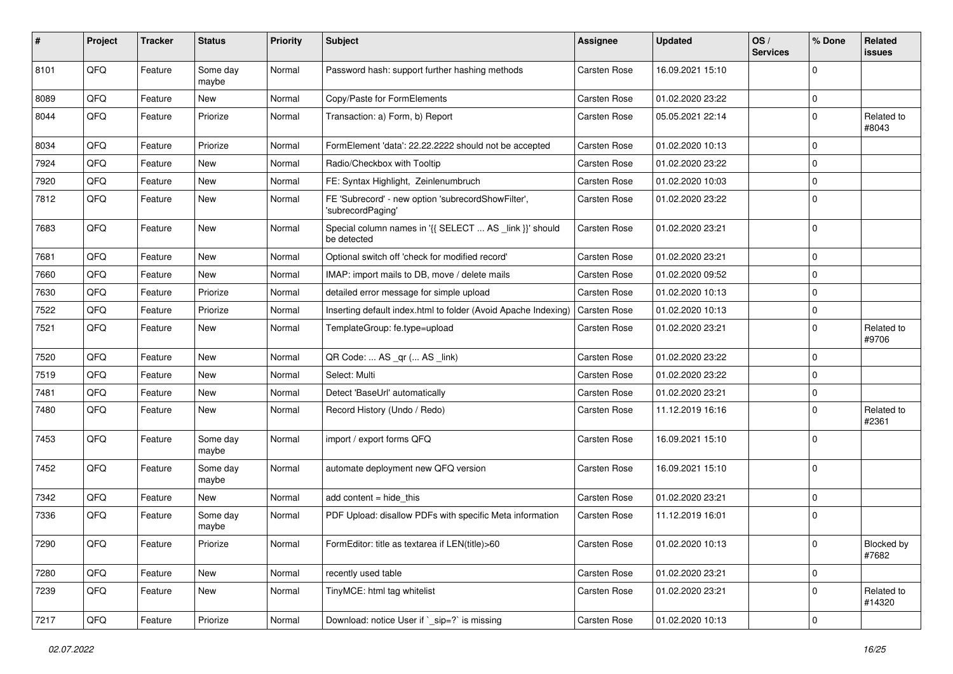| #    | <b>Project</b> | <b>Tracker</b> | <b>Status</b>     | <b>Priority</b> | <b>Subject</b>                                                          | Assignee            | <b>Updated</b>   | OS/<br><b>Services</b> | % Done      | Related<br>issues          |
|------|----------------|----------------|-------------------|-----------------|-------------------------------------------------------------------------|---------------------|------------------|------------------------|-------------|----------------------------|
| 8101 | QFQ            | Feature        | Some day<br>maybe | Normal          | Password hash: support further hashing methods                          | <b>Carsten Rose</b> | 16.09.2021 15:10 |                        | $\Omega$    |                            |
| 8089 | QFQ            | Feature        | New               | Normal          | Copy/Paste for FormElements                                             | <b>Carsten Rose</b> | 01.02.2020 23:22 |                        | 0           |                            |
| 8044 | QFQ            | Feature        | Priorize          | Normal          | Transaction: a) Form, b) Report                                         | Carsten Rose        | 05.05.2021 22:14 |                        | $\Omega$    | Related to<br>#8043        |
| 8034 | QFQ            | Feature        | Priorize          | Normal          | FormElement 'data': 22.22.2222 should not be accepted                   | Carsten Rose        | 01.02.2020 10:13 |                        | $\Omega$    |                            |
| 7924 | QFQ            | Feature        | New               | Normal          | Radio/Checkbox with Tooltip                                             | Carsten Rose        | 01.02.2020 23:22 |                        | $\mathbf 0$ |                            |
| 7920 | QFQ            | Feature        | New               | Normal          | FE: Syntax Highlight, Zeinlenumbruch                                    | Carsten Rose        | 01.02.2020 10:03 |                        | 0           |                            |
| 7812 | QFQ            | Feature        | New               | Normal          | FE 'Subrecord' - new option 'subrecordShowFilter',<br>'subrecordPaging' | Carsten Rose        | 01.02.2020 23:22 |                        | 0           |                            |
| 7683 | QFQ            | Feature        | New               | Normal          | Special column names in '{{ SELECT  AS _link }}' should<br>be detected  | Carsten Rose        | 01.02.2020 23:21 |                        | $\mathbf 0$ |                            |
| 7681 | QFQ            | Feature        | <b>New</b>        | Normal          | Optional switch off 'check for modified record'                         | Carsten Rose        | 01.02.2020 23:21 |                        | $\Omega$    |                            |
| 7660 | QFQ            | Feature        | New               | Normal          | IMAP: import mails to DB, move / delete mails                           | Carsten Rose        | 01.02.2020 09:52 |                        | $\Omega$    |                            |
| 7630 | QFQ            | Feature        | Priorize          | Normal          | detailed error message for simple upload                                | Carsten Rose        | 01.02.2020 10:13 |                        | 0           |                            |
| 7522 | QFQ            | Feature        | Priorize          | Normal          | Inserting default index.html to folder (Avoid Apache Indexing)          | Carsten Rose        | 01.02.2020 10:13 |                        | $\Omega$    |                            |
| 7521 | QFQ            | Feature        | New               | Normal          | TemplateGroup: fe.type=upload                                           | Carsten Rose        | 01.02.2020 23:21 |                        | $\mathbf 0$ | Related to<br>#9706        |
| 7520 | QFQ            | Feature        | New               | Normal          | QR Code:  AS _qr ( AS _link)                                            | <b>Carsten Rose</b> | 01.02.2020 23:22 |                        | $\mathbf 0$ |                            |
| 7519 | QFQ            | Feature        | <b>New</b>        | Normal          | Select: Multi                                                           | Carsten Rose        | 01.02.2020 23:22 |                        | $\Omega$    |                            |
| 7481 | QFQ            | Feature        | New               | Normal          | Detect 'BaseUrl' automatically                                          | Carsten Rose        | 01.02.2020 23:21 |                        | 0           |                            |
| 7480 | QFQ            | Feature        | New               | Normal          | Record History (Undo / Redo)                                            | Carsten Rose        | 11.12.2019 16:16 |                        | $\Omega$    | Related to<br>#2361        |
| 7453 | QFQ            | Feature        | Some day<br>maybe | Normal          | import / export forms QFQ                                               | Carsten Rose        | 16.09.2021 15:10 |                        | $\Omega$    |                            |
| 7452 | QFQ            | Feature        | Some day<br>maybe | Normal          | automate deployment new QFQ version                                     | Carsten Rose        | 16.09.2021 15:10 |                        | 0           |                            |
| 7342 | QFQ            | Feature        | New               | Normal          | add content $=$ hide this                                               | Carsten Rose        | 01.02.2020 23:21 |                        | 0           |                            |
| 7336 | QFQ            | Feature        | Some day<br>maybe | Normal          | PDF Upload: disallow PDFs with specific Meta information                | Carsten Rose        | 11.12.2019 16:01 |                        | $\mathbf 0$ |                            |
| 7290 | QFQ            | Feature        | Priorize          | Normal          | FormEditor: title as textarea if LEN(title)>60                          | Carsten Rose        | 01.02.2020 10:13 |                        | 0           | <b>Blocked by</b><br>#7682 |
| 7280 | QFQ            | Feature        | <b>New</b>        | Normal          | recently used table                                                     | Carsten Rose        | 01.02.2020 23:21 |                        | 0           |                            |
| 7239 | QFQ            | Feature        | New               | Normal          | TinyMCE: html tag whitelist                                             | Carsten Rose        | 01.02.2020 23:21 |                        | 0           | Related to<br>#14320       |
| 7217 | QFQ            | Feature        | Priorize          | Normal          | Download: notice User if `_sip=?` is missing                            | Carsten Rose        | 01.02.2020 10:13 |                        | 0           |                            |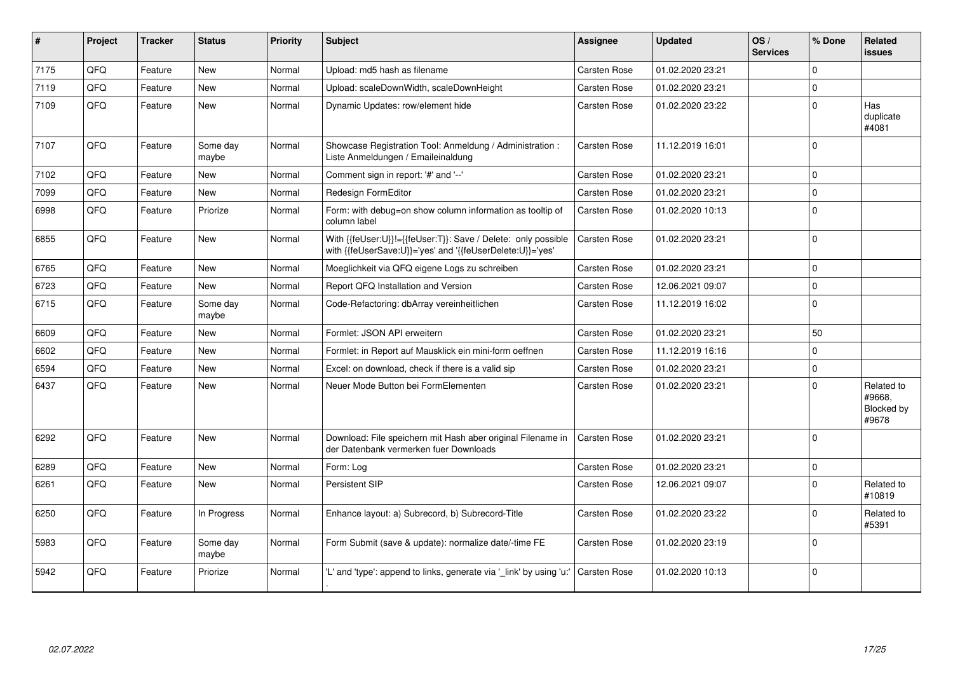| #    | Project | <b>Tracker</b> | <b>Status</b>     | <b>Priority</b> | Subject                                                                                                                    | Assignee            | <b>Updated</b>   | OS/<br><b>Services</b> | % Done      | Related<br><b>issues</b>                    |
|------|---------|----------------|-------------------|-----------------|----------------------------------------------------------------------------------------------------------------------------|---------------------|------------------|------------------------|-------------|---------------------------------------------|
| 7175 | QFQ     | Feature        | <b>New</b>        | Normal          | Upload: md5 hash as filename                                                                                               | Carsten Rose        | 01.02.2020 23:21 |                        | $\Omega$    |                                             |
| 7119 | QFQ     | Feature        | <b>New</b>        | Normal          | Upload: scaleDownWidth, scaleDownHeight                                                                                    | <b>Carsten Rose</b> | 01.02.2020 23:21 |                        | $\Omega$    |                                             |
| 7109 | QFQ     | Feature        | <b>New</b>        | Normal          | Dynamic Updates: row/element hide                                                                                          | Carsten Rose        | 01.02.2020 23:22 |                        | $\Omega$    | Has<br>duplicate<br>#4081                   |
| 7107 | QFQ     | Feature        | Some day<br>maybe | Normal          | Showcase Registration Tool: Anmeldung / Administration :<br>Liste Anmeldungen / Emaileinaldung                             | Carsten Rose        | 11.12.2019 16:01 |                        | $\Omega$    |                                             |
| 7102 | QFQ     | Feature        | New               | Normal          | Comment sign in report: '#' and '--'                                                                                       | Carsten Rose        | 01.02.2020 23:21 |                        | $\Omega$    |                                             |
| 7099 | QFQ     | Feature        | New               | Normal          | Redesign FormEditor                                                                                                        | Carsten Rose        | 01.02.2020 23:21 |                        | $\mathbf 0$ |                                             |
| 6998 | QFQ     | Feature        | Priorize          | Normal          | Form: with debug=on show column information as tooltip of<br>column label                                                  | Carsten Rose        | 01.02.2020 10:13 |                        | $\Omega$    |                                             |
| 6855 | QFQ     | Feature        | New               | Normal          | With {{feUser:U}}!={{feUser:T}}: Save / Delete: only possible<br>with {{feUserSave:U}}='yes' and '{{feUserDelete:U}}='yes' | <b>Carsten Rose</b> | 01.02.2020 23:21 |                        | $\mathbf 0$ |                                             |
| 6765 | QFQ     | Feature        | <b>New</b>        | Normal          | Moeglichkeit via QFQ eigene Logs zu schreiben                                                                              | Carsten Rose        | 01.02.2020 23:21 |                        | $\Omega$    |                                             |
| 6723 | QFQ     | Feature        | <b>New</b>        | Normal          | Report QFQ Installation and Version                                                                                        | Carsten Rose        | 12.06.2021 09:07 |                        | $\Omega$    |                                             |
| 6715 | QFQ     | Feature        | Some day<br>maybe | Normal          | Code-Refactoring: dbArray vereinheitlichen                                                                                 | Carsten Rose        | 11.12.2019 16:02 |                        | $\Omega$    |                                             |
| 6609 | QFQ     | Feature        | New               | Normal          | Formlet: JSON API erweitern                                                                                                | Carsten Rose        | 01.02.2020 23:21 |                        | 50          |                                             |
| 6602 | QFQ     | Feature        | New               | Normal          | Formlet: in Report auf Mausklick ein mini-form oeffnen                                                                     | Carsten Rose        | 11.12.2019 16:16 |                        | $\Omega$    |                                             |
| 6594 | QFQ     | Feature        | <b>New</b>        | Normal          | Excel: on download, check if there is a valid sip                                                                          | Carsten Rose        | 01.02.2020 23:21 |                        | $\Omega$    |                                             |
| 6437 | QFQ     | Feature        | New               | Normal          | Neuer Mode Button bei FormElementen                                                                                        | Carsten Rose        | 01.02.2020 23:21 |                        | $\Omega$    | Related to<br>#9668,<br>Blocked by<br>#9678 |
| 6292 | QFQ     | Feature        | <b>New</b>        | Normal          | Download: File speichern mit Hash aber original Filename in<br>der Datenbank vermerken fuer Downloads                      | <b>Carsten Rose</b> | 01.02.2020 23:21 |                        | $\Omega$    |                                             |
| 6289 | QFQ     | Feature        | <b>New</b>        | Normal          | Form: Log                                                                                                                  | Carsten Rose        | 01.02.2020 23:21 |                        | $\Omega$    |                                             |
| 6261 | QFQ     | Feature        | New               | Normal          | Persistent SIP                                                                                                             | <b>Carsten Rose</b> | 12.06.2021 09:07 |                        | $\Omega$    | Related to<br>#10819                        |
| 6250 | QFQ     | Feature        | In Progress       | Normal          | Enhance layout: a) Subrecord, b) Subrecord-Title                                                                           | Carsten Rose        | 01.02.2020 23:22 |                        | $\Omega$    | Related to<br>#5391                         |
| 5983 | QFQ     | Feature        | Some day<br>maybe | Normal          | Form Submit (save & update): normalize date/-time FE                                                                       | Carsten Rose        | 01.02.2020 23:19 |                        | $\Omega$    |                                             |
| 5942 | QFQ     | Feature        | Priorize          | Normal          | 'L' and 'type': append to links, generate via 'link' by using 'u:'                                                         | Carsten Rose        | 01.02.2020 10:13 |                        | $\mathbf 0$ |                                             |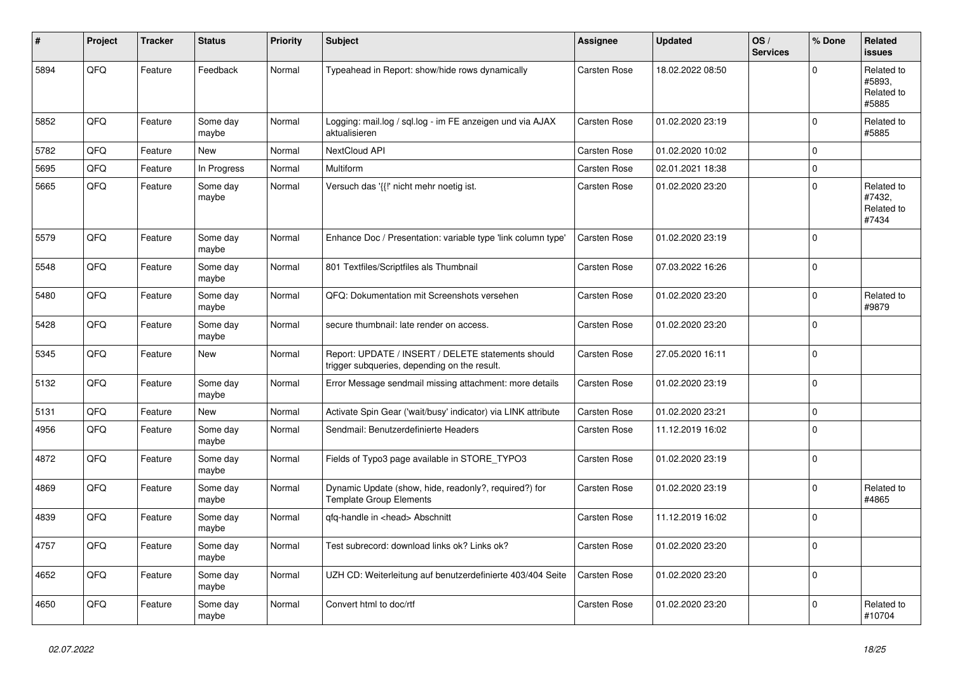| #    | Project | <b>Tracker</b> | <b>Status</b>     | <b>Priority</b> | <b>Subject</b>                                                                                     | Assignee     | <b>Updated</b>   | OS/<br><b>Services</b> | % Done      | Related<br><b>issues</b>                    |
|------|---------|----------------|-------------------|-----------------|----------------------------------------------------------------------------------------------------|--------------|------------------|------------------------|-------------|---------------------------------------------|
| 5894 | QFQ     | Feature        | Feedback          | Normal          | Typeahead in Report: show/hide rows dynamically                                                    | Carsten Rose | 18.02.2022 08:50 |                        | $\Omega$    | Related to<br>#5893,<br>Related to<br>#5885 |
| 5852 | QFQ     | Feature        | Some day<br>maybe | Normal          | Logging: mail.log / sql.log - im FE anzeigen und via AJAX<br>aktualisieren                         | Carsten Rose | 01.02.2020 23:19 |                        | $\mathbf 0$ | Related to<br>#5885                         |
| 5782 | QFQ     | Feature        | New               | Normal          | NextCloud API                                                                                      | Carsten Rose | 01.02.2020 10:02 |                        | $\Omega$    |                                             |
| 5695 | QFQ     | Feature        | In Progress       | Normal          | <b>Multiform</b>                                                                                   | Carsten Rose | 02.01.2021 18:38 |                        | $\mathbf 0$ |                                             |
| 5665 | QFQ     | Feature        | Some day<br>maybe | Normal          | Versuch das '{{!' nicht mehr noetig ist.                                                           | Carsten Rose | 01.02.2020 23:20 |                        | $\mathbf 0$ | Related to<br>#7432,<br>Related to<br>#7434 |
| 5579 | QFQ     | Feature        | Some day<br>maybe | Normal          | Enhance Doc / Presentation: variable type 'link column type'                                       | Carsten Rose | 01.02.2020 23:19 |                        | $\Omega$    |                                             |
| 5548 | QFQ     | Feature        | Some day<br>maybe | Normal          | 801 Textfiles/Scriptfiles als Thumbnail                                                            | Carsten Rose | 07.03.2022 16:26 |                        | $\mathbf 0$ |                                             |
| 5480 | QFQ     | Feature        | Some day<br>maybe | Normal          | QFQ: Dokumentation mit Screenshots versehen                                                        | Carsten Rose | 01.02.2020 23:20 |                        | $\mathbf 0$ | Related to<br>#9879                         |
| 5428 | QFQ     | Feature        | Some day<br>maybe | Normal          | secure thumbnail: late render on access.                                                           | Carsten Rose | 01.02.2020 23:20 |                        | $\Omega$    |                                             |
| 5345 | QFQ     | Feature        | New               | Normal          | Report: UPDATE / INSERT / DELETE statements should<br>trigger subqueries, depending on the result. | Carsten Rose | 27.05.2020 16:11 |                        | $\mathbf 0$ |                                             |
| 5132 | QFQ     | Feature        | Some day<br>maybe | Normal          | Error Message sendmail missing attachment: more details                                            | Carsten Rose | 01.02.2020 23:19 |                        | $\mathbf 0$ |                                             |
| 5131 | QFQ     | Feature        | <b>New</b>        | Normal          | Activate Spin Gear ('wait/busy' indicator) via LINK attribute                                      | Carsten Rose | 01.02.2020 23:21 |                        | $\Omega$    |                                             |
| 4956 | QFQ     | Feature        | Some day<br>maybe | Normal          | Sendmail: Benutzerdefinierte Headers                                                               | Carsten Rose | 11.12.2019 16:02 |                        | $\Omega$    |                                             |
| 4872 | QFQ     | Feature        | Some day<br>maybe | Normal          | Fields of Typo3 page available in STORE_TYPO3                                                      | Carsten Rose | 01.02.2020 23:19 |                        | $\mathbf 0$ |                                             |
| 4869 | QFQ     | Feature        | Some day<br>maybe | Normal          | Dynamic Update (show, hide, readonly?, required?) for<br><b>Template Group Elements</b>            | Carsten Rose | 01.02.2020 23:19 |                        | $\mathbf 0$ | Related to<br>#4865                         |
| 4839 | QFQ     | Feature        | Some day<br>maybe | Normal          | qfq-handle in <head> Abschnitt</head>                                                              | Carsten Rose | 11.12.2019 16:02 |                        | $\Omega$    |                                             |
| 4757 | QFQ     | Feature        | Some day<br>maybe | Normal          | Test subrecord: download links ok? Links ok?                                                       | Carsten Rose | 01.02.2020 23:20 |                        | $\Omega$    |                                             |
| 4652 | QFQ     | Feature        | Some day<br>maybe | Normal          | UZH CD: Weiterleitung auf benutzerdefinierte 403/404 Seite                                         | Carsten Rose | 01.02.2020 23:20 |                        | $\Omega$    |                                             |
| 4650 | QFQ     | Feature        | Some day<br>maybe | Normal          | Convert html to doc/rtf                                                                            | Carsten Rose | 01.02.2020 23:20 |                        | $\Omega$    | Related to<br>#10704                        |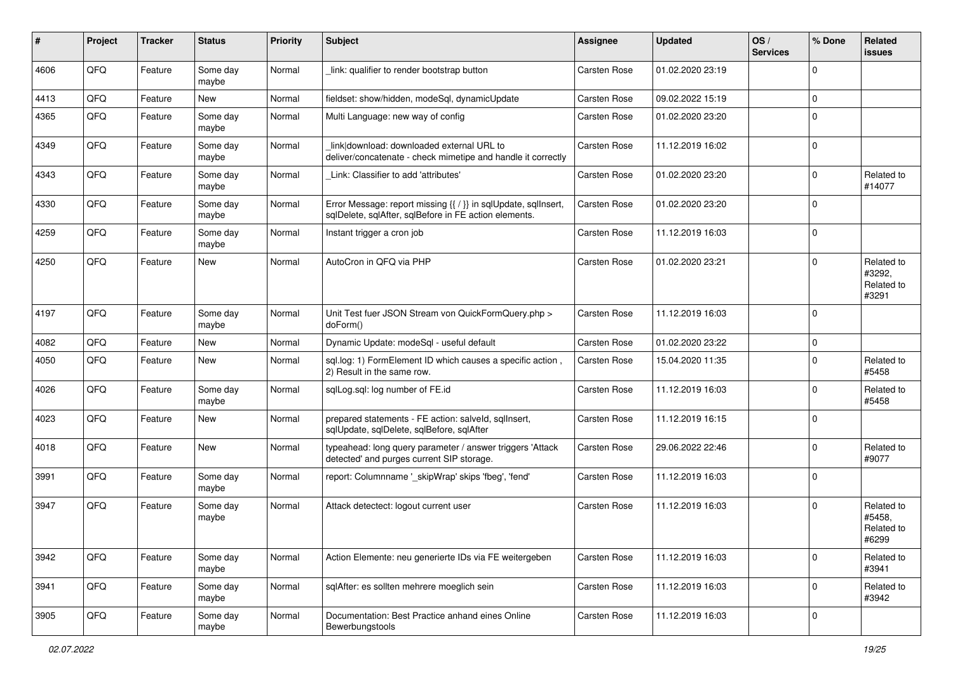| #    | Project | <b>Tracker</b> | <b>Status</b>     | <b>Priority</b> | <b>Subject</b>                                                                                                          | <b>Assignee</b> | <b>Updated</b>   | OS/<br><b>Services</b> | % Done      | Related<br><b>issues</b>                    |
|------|---------|----------------|-------------------|-----------------|-------------------------------------------------------------------------------------------------------------------------|-----------------|------------------|------------------------|-------------|---------------------------------------------|
| 4606 | QFQ     | Feature        | Some day<br>maybe | Normal          | link: qualifier to render bootstrap button                                                                              | Carsten Rose    | 01.02.2020 23:19 |                        | $\Omega$    |                                             |
| 4413 | QFQ     | Feature        | New               | Normal          | fieldset: show/hidden, modeSql, dynamicUpdate                                                                           | Carsten Rose    | 09.02.2022 15:19 |                        | $\mathbf 0$ |                                             |
| 4365 | QFQ     | Feature        | Some day<br>maybe | Normal          | Multi Language: new way of config                                                                                       | Carsten Rose    | 01.02.2020 23:20 |                        | $\Omega$    |                                             |
| 4349 | QFQ     | Feature        | Some day<br>maybe | Normal          | link download: downloaded external URL to<br>deliver/concatenate - check mimetipe and handle it correctly               | Carsten Rose    | 11.12.2019 16:02 |                        | $\Omega$    |                                             |
| 4343 | QFQ     | Feature        | Some day<br>maybe | Normal          | Link: Classifier to add 'attributes'                                                                                    | Carsten Rose    | 01.02.2020 23:20 |                        | $\Omega$    | Related to<br>#14077                        |
| 4330 | QFQ     | Feature        | Some day<br>maybe | Normal          | Error Message: report missing {{ / }} in sqlUpdate, sqlInsert,<br>sqlDelete, sqlAfter, sqlBefore in FE action elements. | Carsten Rose    | 01.02.2020 23:20 |                        | $\Omega$    |                                             |
| 4259 | QFQ     | Feature        | Some day<br>maybe | Normal          | Instant trigger a cron job                                                                                              | Carsten Rose    | 11.12.2019 16:03 |                        | $\mathbf 0$ |                                             |
| 4250 | QFQ     | Feature        | New               | Normal          | AutoCron in QFQ via PHP                                                                                                 | Carsten Rose    | 01.02.2020 23:21 |                        | $\Omega$    | Related to<br>#3292,<br>Related to<br>#3291 |
| 4197 | QFQ     | Feature        | Some day<br>maybe | Normal          | Unit Test fuer JSON Stream von QuickFormQuery.php ><br>doForm()                                                         | Carsten Rose    | 11.12.2019 16:03 |                        | $\Omega$    |                                             |
| 4082 | QFQ     | Feature        | <b>New</b>        | Normal          | Dynamic Update: modeSql - useful default                                                                                | Carsten Rose    | 01.02.2020 23:22 |                        | $\mathbf 0$ |                                             |
| 4050 | QFQ     | Feature        | New               | Normal          | sql.log: 1) FormElement ID which causes a specific action,<br>2) Result in the same row.                                | Carsten Rose    | 15.04.2020 11:35 |                        | $\Omega$    | Related to<br>#5458                         |
| 4026 | QFQ     | Feature        | Some day<br>maybe | Normal          | sqlLog.sql: log number of FE.id                                                                                         | Carsten Rose    | 11.12.2019 16:03 |                        | $\Omega$    | Related to<br>#5458                         |
| 4023 | QFQ     | Feature        | New               | Normal          | prepared statements - FE action: salveld, sqllnsert,<br>sqlUpdate, sqlDelete, sqlBefore, sqlAfter                       | Carsten Rose    | 11.12.2019 16:15 |                        | $\Omega$    |                                             |
| 4018 | QFQ     | Feature        | New               | Normal          | typeahead: long query parameter / answer triggers 'Attack<br>detected' and purges current SIP storage.                  | Carsten Rose    | 29.06.2022 22:46 |                        | $\Omega$    | Related to<br>#9077                         |
| 3991 | QFQ     | Feature        | Some day<br>maybe | Normal          | report: Columnname '_skipWrap' skips 'fbeg', 'fend'                                                                     | Carsten Rose    | 11.12.2019 16:03 |                        | $\mathbf 0$ |                                             |
| 3947 | QFQ     | Feature        | Some day<br>maybe | Normal          | Attack detectect: logout current user                                                                                   | Carsten Rose    | 11.12.2019 16:03 |                        | $\Omega$    | Related to<br>#5458,<br>Related to<br>#6299 |
| 3942 | QFQ     | Feature        | Some day<br>maybe | Normal          | Action Elemente: neu generierte IDs via FE weitergeben                                                                  | Carsten Rose    | 11.12.2019 16:03 |                        | $\mathbf 0$ | Related to<br>#3941                         |
| 3941 | QFQ     | Feature        | Some day<br>maybe | Normal          | sqlAfter: es sollten mehrere moeglich sein                                                                              | Carsten Rose    | 11.12.2019 16:03 |                        | $\mathbf 0$ | Related to<br>#3942                         |
| 3905 | QFQ     | Feature        | Some day<br>maybe | Normal          | Documentation: Best Practice anhand eines Online<br>Bewerbungstools                                                     | Carsten Rose    | 11.12.2019 16:03 |                        | $\mathbf 0$ |                                             |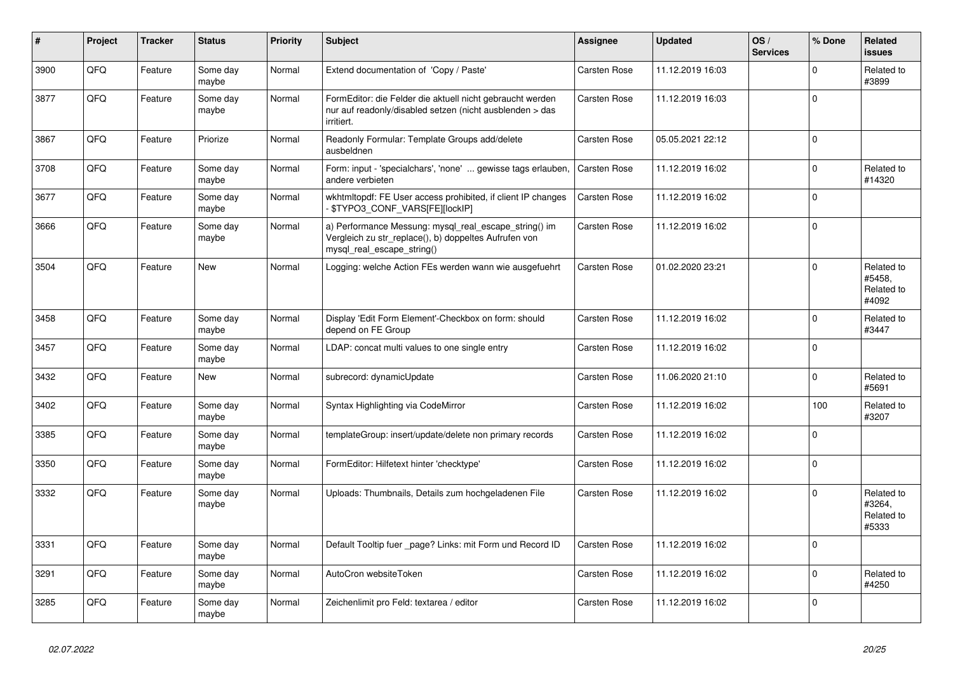| #    | Project | <b>Tracker</b> | <b>Status</b>     | <b>Priority</b> | <b>Subject</b>                                                                                                                               | Assignee            | <b>Updated</b>   | OS/<br><b>Services</b> | % Done   | Related<br><b>issues</b>                    |
|------|---------|----------------|-------------------|-----------------|----------------------------------------------------------------------------------------------------------------------------------------------|---------------------|------------------|------------------------|----------|---------------------------------------------|
| 3900 | QFQ     | Feature        | Some day<br>maybe | Normal          | Extend documentation of 'Copy / Paste'                                                                                                       | Carsten Rose        | 11.12.2019 16:03 |                        | $\Omega$ | Related to<br>#3899                         |
| 3877 | QFQ     | Feature        | Some day<br>maybe | Normal          | FormEditor: die Felder die aktuell nicht gebraucht werden<br>nur auf readonly/disabled setzen (nicht ausblenden > das<br>irritiert.          | <b>Carsten Rose</b> | 11.12.2019 16:03 |                        | $\Omega$ |                                             |
| 3867 | QFQ     | Feature        | Priorize          | Normal          | Readonly Formular: Template Groups add/delete<br>ausbeldnen                                                                                  | Carsten Rose        | 05.05.2021 22:12 |                        | $\Omega$ |                                             |
| 3708 | QFQ     | Feature        | Some day<br>maybe | Normal          | Form: input - 'specialchars', 'none'  gewisse tags erlauben,<br>andere verbieten                                                             | Carsten Rose        | 11.12.2019 16:02 |                        | $\Omega$ | Related to<br>#14320                        |
| 3677 | QFQ     | Feature        | Some day<br>maybe | Normal          | wkhtmltopdf: FE User access prohibited, if client IP changes<br>\$TYPO3 CONF VARS[FE][lockIP]                                                | <b>Carsten Rose</b> | 11.12.2019 16:02 |                        | $\Omega$ |                                             |
| 3666 | QFQ     | Feature        | Some day<br>maybe | Normal          | a) Performance Messung: mysql_real_escape_string() im<br>Vergleich zu str_replace(), b) doppeltes Aufrufen von<br>mysql_real_escape_string() | Carsten Rose        | 11.12.2019 16:02 |                        | $\Omega$ |                                             |
| 3504 | QFQ     | Feature        | <b>New</b>        | Normal          | Logging: welche Action FEs werden wann wie ausgefuehrt                                                                                       | Carsten Rose        | 01.02.2020 23:21 |                        | $\Omega$ | Related to<br>#5458,<br>Related to<br>#4092 |
| 3458 | QFQ     | Feature        | Some day<br>maybe | Normal          | Display 'Edit Form Element'-Checkbox on form: should<br>depend on FE Group                                                                   | <b>Carsten Rose</b> | 11.12.2019 16:02 |                        | $\Omega$ | Related to<br>#3447                         |
| 3457 | QFQ     | Feature        | Some day<br>maybe | Normal          | LDAP: concat multi values to one single entry                                                                                                | Carsten Rose        | 11.12.2019 16:02 |                        | $\Omega$ |                                             |
| 3432 | QFQ     | Feature        | New               | Normal          | subrecord: dynamicUpdate                                                                                                                     | Carsten Rose        | 11.06.2020 21:10 |                        | $\Omega$ | Related to<br>#5691                         |
| 3402 | QFQ     | Feature        | Some day<br>maybe | Normal          | Syntax Highlighting via CodeMirror                                                                                                           | Carsten Rose        | 11.12.2019 16:02 |                        | 100      | Related to<br>#3207                         |
| 3385 | QFQ     | Feature        | Some day<br>maybe | Normal          | templateGroup: insert/update/delete non primary records                                                                                      | <b>Carsten Rose</b> | 11.12.2019 16:02 |                        | $\Omega$ |                                             |
| 3350 | QFQ     | Feature        | Some day<br>maybe | Normal          | FormEditor: Hilfetext hinter 'checktype'                                                                                                     | Carsten Rose        | 11.12.2019 16:02 |                        | $\Omega$ |                                             |
| 3332 | QFQ     | Feature        | Some day<br>maybe | Normal          | Uploads: Thumbnails, Details zum hochgeladenen File                                                                                          | Carsten Rose        | 11.12.2019 16:02 |                        | $\Omega$ | Related to<br>#3264,<br>Related to<br>#5333 |
| 3331 | QFQ     | Feature        | Some day<br>maybe | Normal          | Default Tooltip fuer page? Links: mit Form und Record ID                                                                                     | <b>Carsten Rose</b> | 11.12.2019 16:02 |                        | $\Omega$ |                                             |
| 3291 | QFQ     | Feature        | Some day<br>maybe | Normal          | AutoCron websiteToken                                                                                                                        | Carsten Rose        | 11.12.2019 16:02 |                        | $\Omega$ | Related to<br>#4250                         |
| 3285 | QFQ     | Feature        | Some day<br>maybe | Normal          | Zeichenlimit pro Feld: textarea / editor                                                                                                     | Carsten Rose        | 11.12.2019 16:02 |                        | $\Omega$ |                                             |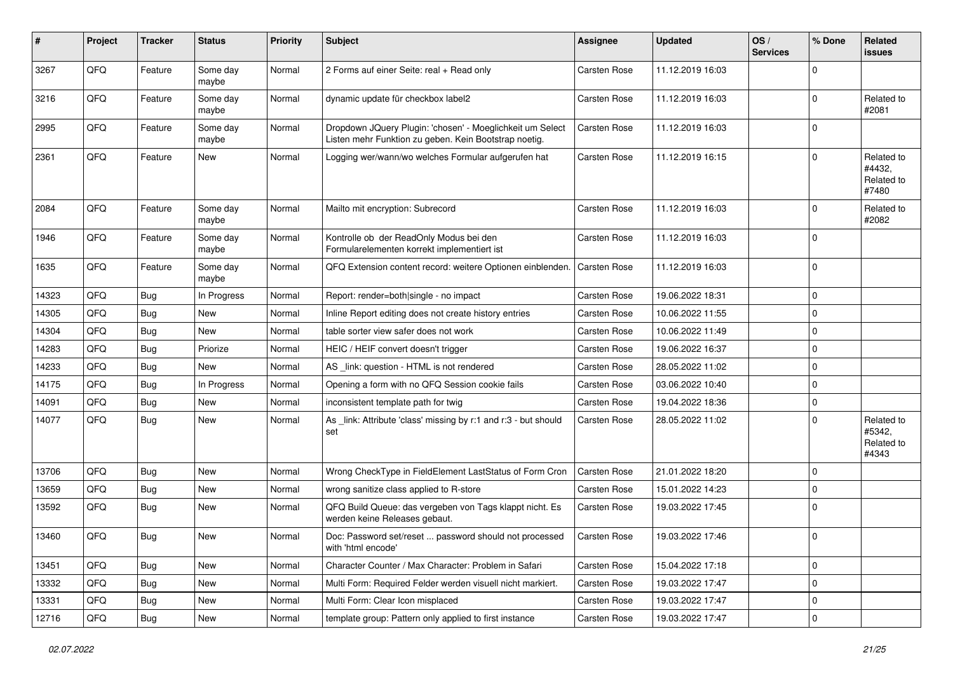| #     | Project | <b>Tracker</b> | <b>Status</b>     | <b>Priority</b> | <b>Subject</b>                                                                                                     | <b>Assignee</b>     | <b>Updated</b>   | OS/<br><b>Services</b> | % Done      | Related<br><b>issues</b>                    |
|-------|---------|----------------|-------------------|-----------------|--------------------------------------------------------------------------------------------------------------------|---------------------|------------------|------------------------|-------------|---------------------------------------------|
| 3267  | QFQ     | Feature        | Some day<br>maybe | Normal          | 2 Forms auf einer Seite: real + Read only                                                                          | Carsten Rose        | 11.12.2019 16:03 |                        | 0           |                                             |
| 3216  | QFQ     | Feature        | Some day<br>maybe | Normal          | dynamic update für checkbox label2                                                                                 | Carsten Rose        | 11.12.2019 16:03 |                        | $\Omega$    | Related to<br>#2081                         |
| 2995  | QFQ     | Feature        | Some day<br>maybe | Normal          | Dropdown JQuery Plugin: 'chosen' - Moeglichkeit um Select<br>Listen mehr Funktion zu geben. Kein Bootstrap noetig. | <b>Carsten Rose</b> | 11.12.2019 16:03 |                        | 0           |                                             |
| 2361  | QFQ     | Feature        | New               | Normal          | Logging wer/wann/wo welches Formular aufgerufen hat                                                                | Carsten Rose        | 11.12.2019 16:15 |                        | $\Omega$    | Related to<br>#4432,<br>Related to<br>#7480 |
| 2084  | QFQ     | Feature        | Some day<br>maybe | Normal          | Mailto mit encryption: Subrecord                                                                                   | Carsten Rose        | 11.12.2019 16:03 |                        | $\Omega$    | Related to<br>#2082                         |
| 1946  | QFQ     | Feature        | Some day<br>maybe | Normal          | Kontrolle ob der ReadOnly Modus bei den<br>Formularelementen korrekt implementiert ist                             | Carsten Rose        | 11.12.2019 16:03 |                        | 0           |                                             |
| 1635  | QFQ     | Feature        | Some day<br>maybe | Normal          | QFQ Extension content record: weitere Optionen einblenden.                                                         | Carsten Rose        | 11.12.2019 16:03 |                        | $\Omega$    |                                             |
| 14323 | QFQ     | Bug            | In Progress       | Normal          | Report: render=both single - no impact                                                                             | Carsten Rose        | 19.06.2022 18:31 |                        | $\Omega$    |                                             |
| 14305 | QFQ     | <b>Bug</b>     | <b>New</b>        | Normal          | Inline Report editing does not create history entries                                                              | Carsten Rose        | 10.06.2022 11:55 |                        | $\mathbf 0$ |                                             |
| 14304 | QFQ     | <b>Bug</b>     | New               | Normal          | table sorter view safer does not work                                                                              | Carsten Rose        | 10.06.2022 11:49 |                        | 0           |                                             |
| 14283 | QFQ     | <b>Bug</b>     | Priorize          | Normal          | HEIC / HEIF convert doesn't trigger                                                                                | Carsten Rose        | 19.06.2022 16:37 |                        | 0           |                                             |
| 14233 | QFQ     | Bug            | <b>New</b>        | Normal          | AS _link: question - HTML is not rendered                                                                          | Carsten Rose        | 28.05.2022 11:02 |                        | 0           |                                             |
| 14175 | QFQ     | <b>Bug</b>     | In Progress       | Normal          | Opening a form with no QFQ Session cookie fails                                                                    | Carsten Rose        | 03.06.2022 10:40 |                        | $\Omega$    |                                             |
| 14091 | QFQ     | <b>Bug</b>     | New               | Normal          | inconsistent template path for twig                                                                                | Carsten Rose        | 19.04.2022 18:36 |                        | $\mathbf 0$ |                                             |
| 14077 | QFQ     | Bug            | <b>New</b>        | Normal          | As _link: Attribute 'class' missing by r:1 and r:3 - but should<br>set                                             | Carsten Rose        | 28.05.2022 11:02 |                        | 0           | Related to<br>#5342,<br>Related to<br>#4343 |
| 13706 | QFQ     | <b>Bug</b>     | <b>New</b>        | Normal          | Wrong CheckType in FieldElement LastStatus of Form Cron                                                            | <b>Carsten Rose</b> | 21.01.2022 18:20 |                        | $\Omega$    |                                             |
| 13659 | QFQ     | Bug            | New               | Normal          | wrong sanitize class applied to R-store                                                                            | Carsten Rose        | 15.01.2022 14:23 |                        | $\Omega$    |                                             |
| 13592 | QFQ     | Bug            | <b>New</b>        | Normal          | QFQ Build Queue: das vergeben von Tags klappt nicht. Es<br>werden keine Releases gebaut.                           | <b>Carsten Rose</b> | 19.03.2022 17:45 |                        | $\mathbf 0$ |                                             |
| 13460 | QFQ     | Bug            | New               | Normal          | Doc: Password set/reset  password should not processed<br>with 'html encode'                                       | Carsten Rose        | 19.03.2022 17:46 |                        | $\Omega$    |                                             |
| 13451 | QFQ     | Bug            | New               | Normal          | Character Counter / Max Character: Problem in Safari                                                               | Carsten Rose        | 15.04.2022 17:18 |                        | $\mathbf 0$ |                                             |
| 13332 | QFQ     | Bug            | New               | Normal          | Multi Form: Required Felder werden visuell nicht markiert.                                                         | Carsten Rose        | 19.03.2022 17:47 |                        | 0           |                                             |
| 13331 | QFQ     | <b>Bug</b>     | New               | Normal          | Multi Form: Clear Icon misplaced                                                                                   | Carsten Rose        | 19.03.2022 17:47 |                        | $\Omega$    |                                             |
| 12716 | QFG     | <b>Bug</b>     | New               | Normal          | template group: Pattern only applied to first instance                                                             | Carsten Rose        | 19.03.2022 17:47 |                        | 0           |                                             |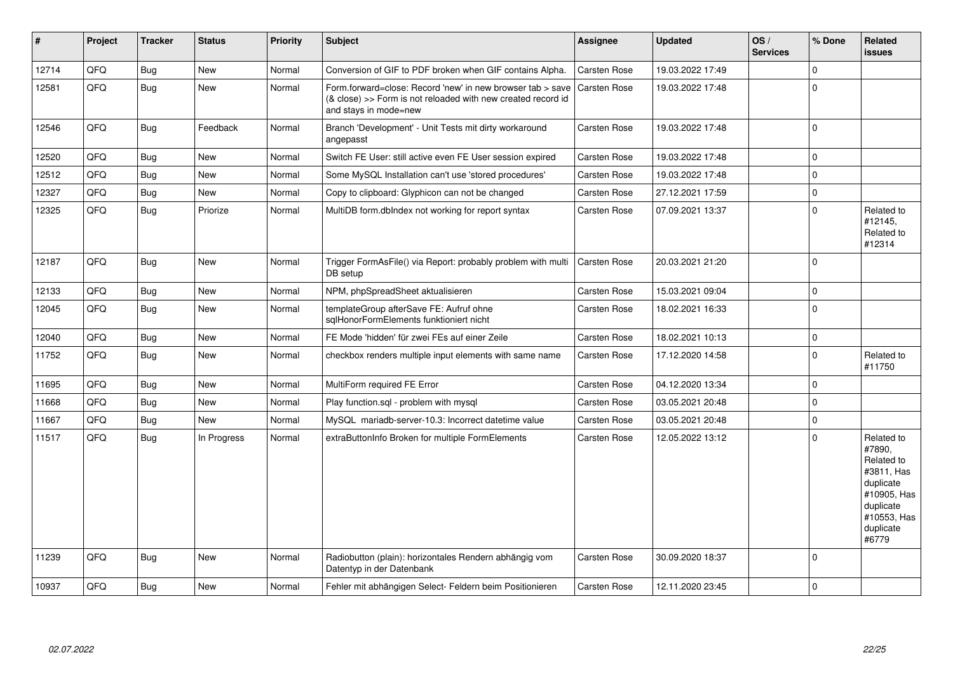| $\sharp$ | Project | <b>Tracker</b> | <b>Status</b> | <b>Priority</b> | <b>Subject</b>                                                                                                                                      | Assignee            | <b>Updated</b>   | OS/<br><b>Services</b> | % Done         | Related<br><b>issues</b>                                                                                                       |
|----------|---------|----------------|---------------|-----------------|-----------------------------------------------------------------------------------------------------------------------------------------------------|---------------------|------------------|------------------------|----------------|--------------------------------------------------------------------------------------------------------------------------------|
| 12714    | QFQ     | <b>Bug</b>     | <b>New</b>    | Normal          | Conversion of GIF to PDF broken when GIF contains Alpha.                                                                                            | <b>Carsten Rose</b> | 19.03.2022 17:49 |                        | $\Omega$       |                                                                                                                                |
| 12581    | QFQ     | Bug            | <b>New</b>    | Normal          | Form.forward=close: Record 'new' in new browser tab > save<br>(& close) >> Form is not reloaded with new created record id<br>and stays in mode=new | <b>Carsten Rose</b> | 19.03.2022 17:48 |                        | $\Omega$       |                                                                                                                                |
| 12546    | QFQ     | Bug            | Feedback      | Normal          | Branch 'Development' - Unit Tests mit dirty workaround<br>angepasst                                                                                 | <b>Carsten Rose</b> | 19.03.2022 17:48 |                        | l O            |                                                                                                                                |
| 12520    | QFQ     | <b>Bug</b>     | New           | Normal          | Switch FE User: still active even FE User session expired                                                                                           | <b>Carsten Rose</b> | 19.03.2022 17:48 |                        | $\mathbf 0$    |                                                                                                                                |
| 12512    | QFQ     | <b>Bug</b>     | <b>New</b>    | Normal          | Some MySQL Installation can't use 'stored procedures'                                                                                               | <b>Carsten Rose</b> | 19.03.2022 17:48 |                        | $\Omega$       |                                                                                                                                |
| 12327    | QFQ     | Bug            | <b>New</b>    | Normal          | Copy to clipboard: Glyphicon can not be changed                                                                                                     | <b>Carsten Rose</b> | 27.12.2021 17:59 |                        | $\overline{0}$ |                                                                                                                                |
| 12325    | QFQ     | <b>Bug</b>     | Priorize      | Normal          | MultiDB form.dblndex not working for report syntax                                                                                                  | <b>Carsten Rose</b> | 07.09.2021 13:37 |                        | $\Omega$       | Related to<br>#12145,<br>Related to<br>#12314                                                                                  |
| 12187    | QFQ     | <b>Bug</b>     | New           | Normal          | Trigger FormAsFile() via Report: probably problem with multi<br>DB setup                                                                            | <b>Carsten Rose</b> | 20.03.2021 21:20 |                        | $\mathbf 0$    |                                                                                                                                |
| 12133    | QFQ     | <b>Bug</b>     | <b>New</b>    | Normal          | NPM, phpSpreadSheet aktualisieren                                                                                                                   | <b>Carsten Rose</b> | 15.03.2021 09:04 |                        | $\mathbf 0$    |                                                                                                                                |
| 12045    | QFQ     | <b>Bug</b>     | New           | Normal          | templateGroup afterSave FE: Aufruf ohne<br>sqlHonorFormElements funktioniert nicht                                                                  | <b>Carsten Rose</b> | 18.02.2021 16:33 |                        | $\Omega$       |                                                                                                                                |
| 12040    | QFQ     | <b>Bug</b>     | <b>New</b>    | Normal          | FE Mode 'hidden' für zwei FEs auf einer Zeile                                                                                                       | <b>Carsten Rose</b> | 18.02.2021 10:13 |                        | $\mathbf 0$    |                                                                                                                                |
| 11752    | QFQ     | <b>Bug</b>     | <b>New</b>    | Normal          | checkbox renders multiple input elements with same name                                                                                             | <b>Carsten Rose</b> | 17.12.2020 14:58 |                        | $\Omega$       | Related to<br>#11750                                                                                                           |
| 11695    | QFQ     | Bug            | <b>New</b>    | Normal          | MultiForm required FE Error                                                                                                                         | <b>Carsten Rose</b> | 04.12.2020 13:34 |                        | 0 I            |                                                                                                                                |
| 11668    | QFQ     | <b>Bug</b>     | New           | Normal          | Play function.sql - problem with mysql                                                                                                              | <b>Carsten Rose</b> | 03.05.2021 20:48 |                        | $\Omega$       |                                                                                                                                |
| 11667    | QFQ     | <b>Bug</b>     | <b>New</b>    | Normal          | MySQL mariadb-server-10.3: Incorrect datetime value                                                                                                 | <b>Carsten Rose</b> | 03.05.2021 20:48 |                        | $\Omega$       |                                                                                                                                |
| 11517    | QFQ     | <b>Bug</b>     | In Progress   | Normal          | extraButtonInfo Broken for multiple FormElements                                                                                                    | <b>Carsten Rose</b> | 12.05.2022 13:12 |                        | $\Omega$       | Related to<br>#7890,<br>Related to<br>#3811, Has<br>duplicate<br>#10905, Has<br>duplicate<br>#10553, Has<br>duplicate<br>#6779 |
| 11239    | QFQ     | Bug            | New           | Normal          | Radiobutton (plain): horizontales Rendern abhängig vom<br>Datentyp in der Datenbank                                                                 | <b>Carsten Rose</b> | 30.09.2020 18:37 |                        | l 0            |                                                                                                                                |
| 10937    | QFQ     | Bug            | <b>New</b>    | Normal          | Fehler mit abhängigen Select- Feldern beim Positionieren                                                                                            | Carsten Rose        | 12.11.2020 23:45 |                        | $\mathbf 0$    |                                                                                                                                |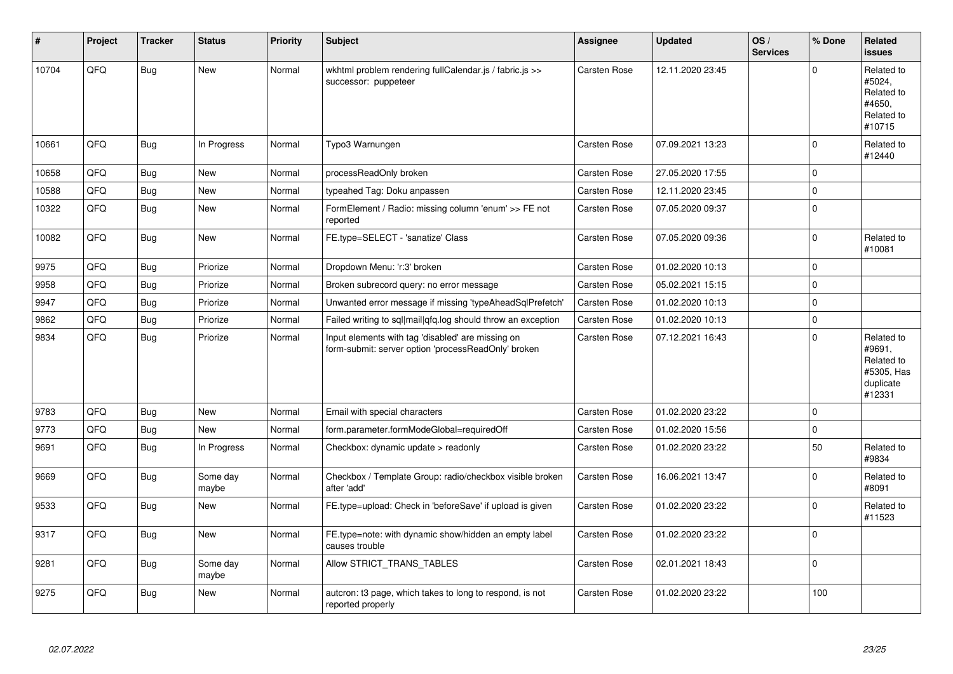| #     | Project | <b>Tracker</b> | <b>Status</b>     | <b>Priority</b> | <b>Subject</b>                                                                                           | <b>Assignee</b>     | <b>Updated</b>   | OS/<br><b>Services</b> | % Done      | Related<br><b>issues</b>                                                |
|-------|---------|----------------|-------------------|-----------------|----------------------------------------------------------------------------------------------------------|---------------------|------------------|------------------------|-------------|-------------------------------------------------------------------------|
| 10704 | QFQ     | Bug            | <b>New</b>        | Normal          | wkhtml problem rendering fullCalendar.js / fabric.js >><br>successor: puppeteer                          | <b>Carsten Rose</b> | 12.11.2020 23:45 |                        | $\Omega$    | Related to<br>#5024,<br>Related to<br>#4650,<br>Related to<br>#10715    |
| 10661 | QFQ     | <b>Bug</b>     | In Progress       | Normal          | Typo3 Warnungen                                                                                          | <b>Carsten Rose</b> | 07.09.2021 13:23 |                        | $\mathbf 0$ | Related to<br>#12440                                                    |
| 10658 | QFQ     | <b>Bug</b>     | <b>New</b>        | Normal          | processReadOnly broken                                                                                   | Carsten Rose        | 27.05.2020 17:55 |                        | $\Omega$    |                                                                         |
| 10588 | QFQ     | <b>Bug</b>     | <b>New</b>        | Normal          | typeahed Tag: Doku anpassen                                                                              | Carsten Rose        | 12.11.2020 23:45 |                        | $\mathbf 0$ |                                                                         |
| 10322 | QFQ     | <b>Bug</b>     | New               | Normal          | FormElement / Radio: missing column 'enum' >> FE not<br>reported                                         | Carsten Rose        | 07.05.2020 09:37 |                        | $\Omega$    |                                                                         |
| 10082 | QFQ     | Bug            | <b>New</b>        | Normal          | FE.type=SELECT - 'sanatize' Class                                                                        | Carsten Rose        | 07.05.2020 09:36 |                        | $\mathbf 0$ | Related to<br>#10081                                                    |
| 9975  | QFQ     | <b>Bug</b>     | Priorize          | Normal          | Dropdown Menu: 'r:3' broken                                                                              | Carsten Rose        | 01.02.2020 10:13 |                        | $\mathbf 0$ |                                                                         |
| 9958  | QFQ     | <b>Bug</b>     | Priorize          | Normal          | Broken subrecord query: no error message                                                                 | Carsten Rose        | 05.02.2021 15:15 |                        | $\mathbf 0$ |                                                                         |
| 9947  | QFQ     | <b>Bug</b>     | Priorize          | Normal          | Unwanted error message if missing 'typeAheadSqlPrefetch'                                                 | <b>Carsten Rose</b> | 01.02.2020 10:13 |                        | $\mathbf 0$ |                                                                         |
| 9862  | QFQ     | Bug            | Priorize          | Normal          | Failed writing to sql mail qfq.log should throw an exception                                             | <b>Carsten Rose</b> | 01.02.2020 10:13 |                        | $\mathbf 0$ |                                                                         |
| 9834  | QFQ     | <b>Bug</b>     | Priorize          | Normal          | Input elements with tag 'disabled' are missing on<br>form-submit: server option 'processReadOnly' broken | Carsten Rose        | 07.12.2021 16:43 |                        | $\Omega$    | Related to<br>#9691,<br>Related to<br>#5305, Has<br>duplicate<br>#12331 |
| 9783  | QFQ     | Bug            | <b>New</b>        | Normal          | Email with special characters                                                                            | <b>Carsten Rose</b> | 01.02.2020 23:22 |                        | $\mathbf 0$ |                                                                         |
| 9773  | QFQ     | <b>Bug</b>     | <b>New</b>        | Normal          | form.parameter.formModeGlobal=requiredOff                                                                | Carsten Rose        | 01.02.2020 15:56 |                        | $\Omega$    |                                                                         |
| 9691  | QFQ     | <b>Bug</b>     | In Progress       | Normal          | Checkbox: dynamic update > readonly                                                                      | Carsten Rose        | 01.02.2020 23:22 |                        | 50          | Related to<br>#9834                                                     |
| 9669  | QFQ     | Bug            | Some day<br>maybe | Normal          | Checkbox / Template Group: radio/checkbox visible broken<br>after 'add'                                  | Carsten Rose        | 16.06.2021 13:47 |                        | $\Omega$    | Related to<br>#8091                                                     |
| 9533  | QFQ     | <b>Bug</b>     | <b>New</b>        | Normal          | FE.type=upload: Check in 'beforeSave' if upload is given                                                 | Carsten Rose        | 01.02.2020 23:22 |                        | $\Omega$    | Related to<br>#11523                                                    |
| 9317  | QFQ     | <b>Bug</b>     | <b>New</b>        | Normal          | FE.type=note: with dynamic show/hidden an empty label<br>causes trouble                                  | Carsten Rose        | 01.02.2020 23:22 |                        | $\mathbf 0$ |                                                                         |
| 9281  | QFQ     | Bug            | Some day<br>maybe | Normal          | Allow STRICT TRANS TABLES                                                                                | Carsten Rose        | 02.01.2021 18:43 |                        | $\mathbf 0$ |                                                                         |
| 9275  | QFQ     | <b>Bug</b>     | New               | Normal          | autcron: t3 page, which takes to long to respond, is not<br>reported properly                            | Carsten Rose        | 01.02.2020 23:22 |                        | 100         |                                                                         |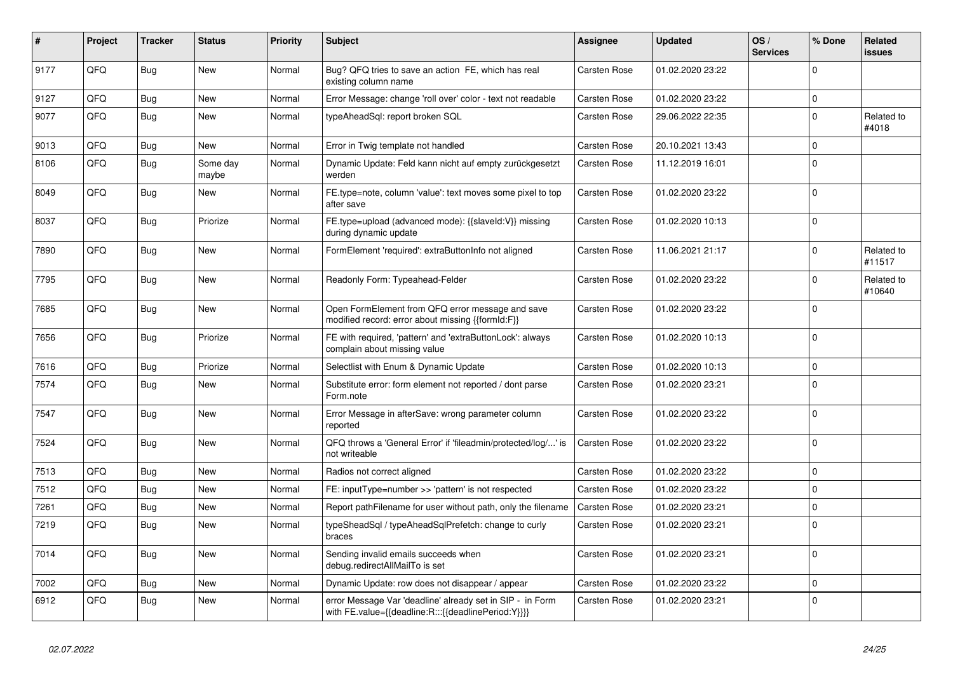| #    | Project | <b>Tracker</b> | <b>Status</b>     | <b>Priority</b> | <b>Subject</b>                                                                                                   | Assignee     | <b>Updated</b>   | OS/<br><b>Services</b> | % Done      | Related<br>issues    |
|------|---------|----------------|-------------------|-----------------|------------------------------------------------------------------------------------------------------------------|--------------|------------------|------------------------|-------------|----------------------|
| 9177 | QFQ     | <b>Bug</b>     | <b>New</b>        | Normal          | Bug? QFQ tries to save an action FE, which has real<br>existing column name                                      | Carsten Rose | 01.02.2020 23:22 |                        | $\Omega$    |                      |
| 9127 | QFQ     | <b>Bug</b>     | <b>New</b>        | Normal          | Error Message: change 'roll over' color - text not readable                                                      | Carsten Rose | 01.02.2020 23:22 |                        | $\Omega$    |                      |
| 9077 | QFQ     | Bug            | <b>New</b>        | Normal          | typeAheadSgl: report broken SQL                                                                                  | Carsten Rose | 29.06.2022 22:35 |                        | $\Omega$    | Related to<br>#4018  |
| 9013 | QFQ     | <b>Bug</b>     | <b>New</b>        | Normal          | Error in Twig template not handled                                                                               | Carsten Rose | 20.10.2021 13:43 |                        | $\mathbf 0$ |                      |
| 8106 | QFQ     | <b>Bug</b>     | Some day<br>maybe | Normal          | Dynamic Update: Feld kann nicht auf empty zurückgesetzt<br>werden                                                | Carsten Rose | 11.12.2019 16:01 |                        | $\Omega$    |                      |
| 8049 | QFQ     | Bug            | New               | Normal          | FE.type=note, column 'value': text moves some pixel to top<br>after save                                         | Carsten Rose | 01.02.2020 23:22 |                        | $\Omega$    |                      |
| 8037 | QFQ     | <b>Bug</b>     | Priorize          | Normal          | FE.type=upload (advanced mode): {{slaveld:V}} missing<br>during dynamic update                                   | Carsten Rose | 01.02.2020 10:13 |                        | $\Omega$    |                      |
| 7890 | QFQ     | Bug            | New               | Normal          | FormElement 'required': extraButtonInfo not aligned                                                              | Carsten Rose | 11.06.2021 21:17 |                        | $\Omega$    | Related to<br>#11517 |
| 7795 | QFQ     | Bug            | New               | Normal          | Readonly Form: Typeahead-Felder                                                                                  | Carsten Rose | 01.02.2020 23:22 |                        | $\Omega$    | Related to<br>#10640 |
| 7685 | QFQ     | <b>Bug</b>     | <b>New</b>        | Normal          | Open FormElement from QFQ error message and save<br>modified record: error about missing {{formId:F}}            | Carsten Rose | 01.02.2020 23:22 |                        | $\Omega$    |                      |
| 7656 | QFQ     | <b>Bug</b>     | Priorize          | Normal          | FE with required, 'pattern' and 'extraButtonLock': always<br>complain about missing value                        | Carsten Rose | 01.02.2020 10:13 |                        | $\Omega$    |                      |
| 7616 | QFQ     | <b>Bug</b>     | Priorize          | Normal          | Selectlist with Enum & Dynamic Update                                                                            | Carsten Rose | 01.02.2020 10:13 |                        | $\Omega$    |                      |
| 7574 | QFQ     | Bug            | New               | Normal          | Substitute error: form element not reported / dont parse<br>Form.note                                            | Carsten Rose | 01.02.2020 23:21 |                        | $\Omega$    |                      |
| 7547 | QFQ     | Bug            | <b>New</b>        | Normal          | Error Message in afterSave: wrong parameter column<br>reported                                                   | Carsten Rose | 01.02.2020 23:22 |                        | $\Omega$    |                      |
| 7524 | QFQ     | Bug            | <b>New</b>        | Normal          | QFQ throws a 'General Error' if 'fileadmin/protected/log/' is<br>not writeable                                   | Carsten Rose | 01.02.2020 23:22 |                        | $\Omega$    |                      |
| 7513 | QFQ     | Bug            | <b>New</b>        | Normal          | Radios not correct aligned                                                                                       | Carsten Rose | 01.02.2020 23:22 |                        | $\Omega$    |                      |
| 7512 | QFQ     | <b>Bug</b>     | New               | Normal          | FE: inputType=number >> 'pattern' is not respected                                                               | Carsten Rose | 01.02.2020 23:22 |                        | $\mathbf 0$ |                      |
| 7261 | QFQ     | <b>Bug</b>     | New               | Normal          | Report pathFilename for user without path, only the filename                                                     | Carsten Rose | 01.02.2020 23:21 |                        | $\mathbf 0$ |                      |
| 7219 | QFQ     | <b>Bug</b>     | New               | Normal          | typeSheadSql / typeAheadSqlPrefetch: change to curly<br>braces                                                   | Carsten Rose | 01.02.2020 23:21 |                        | $\Omega$    |                      |
| 7014 | QFQ     | Bug            | New               | Normal          | Sending invalid emails succeeds when<br>debug.redirectAllMailTo is set                                           | Carsten Rose | 01.02.2020 23:21 |                        | $\Omega$    |                      |
| 7002 | QFQ     | <b>Bug</b>     | <b>New</b>        | Normal          | Dynamic Update: row does not disappear / appear                                                                  | Carsten Rose | 01.02.2020 23:22 |                        | $\mathbf 0$ |                      |
| 6912 | QFQ     | Bug            | New               | Normal          | error Message Var 'deadline' already set in SIP - in Form<br>with FE.value={{deadline:R:::{{deadlinePeriod:Y}}}} | Carsten Rose | 01.02.2020 23:21 |                        | $\Omega$    |                      |